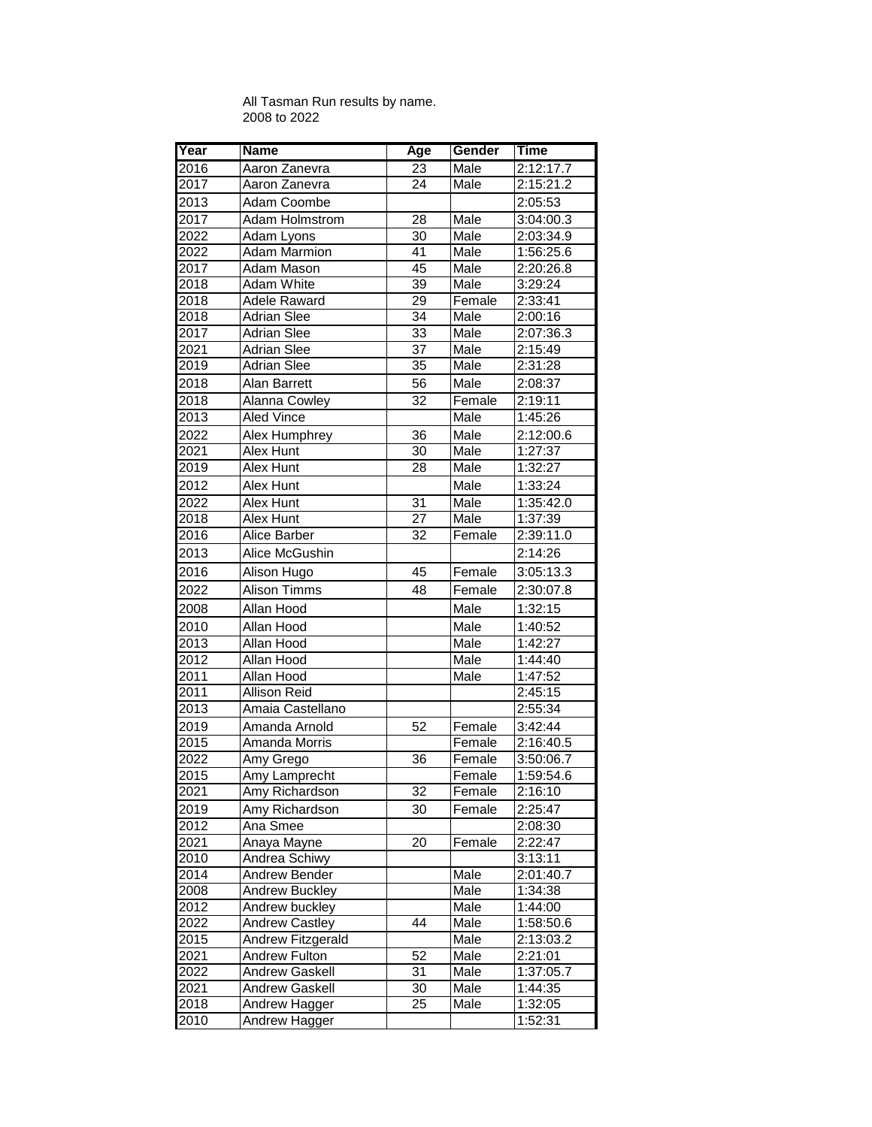## All Tasman Run results by name. 2008 to 2022

| Year | <b>Name</b>           | Age             | Gender | Time      |
|------|-----------------------|-----------------|--------|-----------|
| 2016 | Aaron Zanevra         | 23              | Male   | 2:12:17.7 |
| 2017 | Aaron Zanevra         | 24              | Male   | 2:15:21.2 |
| 2013 | Adam Coombe           |                 |        | 2:05:53   |
| 2017 | Adam Holmstrom        | 28              | Male   | 3:04:00.3 |
| 2022 | Adam Lyons            | $\overline{30}$ | Male   | 2:03:34.9 |
| 2022 | <b>Adam Marmion</b>   | $\overline{41}$ | Male   | 1:56:25.6 |
| 2017 | Adam Mason            | 45              | Male   | 2:20:26.8 |
| 2018 | <b>Adam White</b>     | 39              | Male   | 3:29:24   |
| 2018 | Adele Raward          | 29              | Female | 2:33:41   |
| 2018 | <b>Adrian Slee</b>    | 34              | Male   | 2:00:16   |
| 2017 | Adrian Slee           | 33              | Male   | 2:07:36.3 |
| 2021 | <b>Adrian Slee</b>    | $\overline{37}$ | Male   | 2:15:49   |
| 2019 | <b>Adrian Slee</b>    | 35              | Male   | 2:31:28   |
| 2018 | <b>Alan Barrett</b>   | 56              | Male   | 2:08:37   |
| 2018 | Alanna Cowley         | $\overline{32}$ | Female | 2:19:11   |
| 2013 | <b>Aled Vince</b>     |                 | Male   | 1:45:26   |
| 2022 | Alex Humphrey         | 36              | Male   | 2:12:00.6 |
| 2021 | Alex Hunt             | $\overline{30}$ | Male   | 1:27:37   |
| 2019 | Alex Hunt             | 28              | Male   | 1:32:27   |
| 2012 | Alex Hunt             |                 | Male   | 1:33:24   |
| 2022 | <b>Alex Hunt</b>      | $\overline{31}$ | Male   | 1:35:42.0 |
| 2018 | Alex Hunt             | $\overline{27}$ | Male   | 1:37:39   |
| 2016 | <b>Alice Barber</b>   | 32              | Female | 2:39:11.0 |
| 2013 | Alice McGushin        |                 |        | 2:14:26   |
| 2016 | Alison Hugo           | 45              | Female | 3:05:13.3 |
| 2022 | Alison Timms          | 48              | Female | 2:30:07.8 |
| 2008 | Allan Hood            |                 | Male   | 1:32:15   |
| 2010 | Allan Hood            |                 | Male   | 1:40:52   |
| 2013 | <b>Allan Hood</b>     |                 | Male   | 1:42:27   |
| 2012 | Allan Hood            |                 | Male   | 1:44:40   |
| 2011 | Allan Hood            |                 | Male   | 1:47:52   |
| 2011 | Allison Reid          |                 |        | 2:45:15   |
| 2013 | Amaia Castellano      |                 |        | 2:55:34   |
| 2019 | Amanda Arnold         | 52              | Female | 3:42:44   |
| 2015 | Amanda Morris         |                 | Female | 2:16:40.5 |
| 2022 | Amy Grego             | $\overline{36}$ | Female | 3:50:06.7 |
| 2015 | Amy Lamprecht         |                 | Female | 1:59:54.6 |
| 2021 | Amy Richardson        | 32              | Female | 2:16:10   |
| 2019 | Amy Richardson        | 30              | Female | 2:25:47   |
| 2012 | Ana Smee              |                 |        | 2:08:30   |
| 2021 | Anaya Mayne           | 20              | Female | 2:22:47   |
| 2010 | <b>Andrea Schiwy</b>  |                 |        | 3:13:11   |
| 2014 | Andrew Bender         |                 | Male   | 2:01:40.7 |
| 2008 | <b>Andrew Buckley</b> |                 | Male   | 1:34:38   |
| 2012 | Andrew buckley        |                 | Male   | 1:44:00   |
| 2022 | <b>Andrew Castley</b> | 44              | Male   | 1:58:50.6 |
| 2015 | Andrew Fitzgerald     |                 | Male   | 2:13:03.2 |
| 2021 | Andrew Fulton         | 52              | Male   | 2:21:01   |
| 2022 | Andrew Gaskell        | 31              | Male   | 1:37:05.7 |
| 2021 | Andrew Gaskell        | $\overline{30}$ | Male   | 1:44:35   |
| 2018 | Andrew Hagger         | 25              | Male   | 1:32:05   |
| 2010 | <b>Andrew Hagger</b>  |                 |        | 1:52:31   |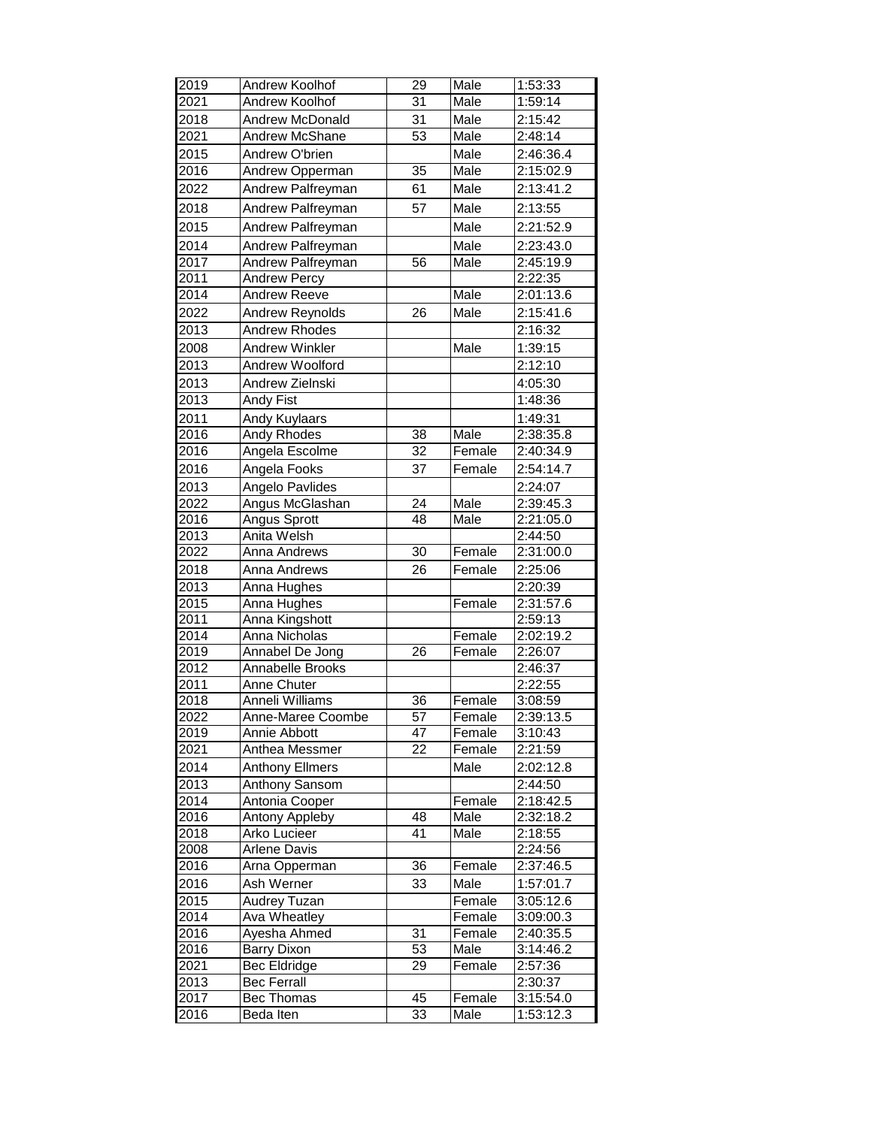| $\overline{31}$<br>2021<br>Andrew Koolhof<br>Male<br>1:59:14<br>31<br>2018<br>2:15:42<br><b>Andrew McDonald</b><br>Male<br>53<br>2021<br>Male<br>Andrew McShane<br>2:48:14<br>2015<br>2:46:36.4<br>Andrew O'brien<br>Male<br>$\overline{35}$<br>2016<br>Male<br>2:15:02.9<br>Andrew Opperman<br>Andrew Palfreyman<br>61<br>2022<br>Male<br>2:13:41.2<br>57<br>2018<br>Andrew Palfreyman<br>Male<br>2:13:55<br>Male<br>2015<br>Andrew Palfreyman<br>2:21:52.9<br>Male<br>2014<br>Andrew Palfreyman<br>2:23:43.0<br><b>Andrew Palfreyman</b><br>2017<br>$\overline{56}$<br>Male<br>2:45:19.9<br>2011<br>2:22:35<br><b>Andrew Percy</b><br>2014<br>Male<br>2:01:13.6<br><b>Andrew Reeve</b><br>26<br>2022<br>Male<br>2:15:41.6<br>Andrew Reynolds<br><b>Andrew Rhodes</b><br>2:16:32<br>2013<br><b>Andrew Winkler</b><br>Male<br>1:39:15<br>2008<br>$20\overline{13}$<br>Andrew Woolford<br>2:12:10<br>2013<br>Andrew Zielnski<br>4:05:30<br>$20\overline{13}$<br>Andy Fist<br>1:48:36<br>2011<br>Andy Kuylaars<br>1:49:31<br><b>Andy Rhodes</b><br>38<br>Male<br>2016<br>2:38:35.8<br>$\overline{32}$<br>2016<br>Angela Escolme<br>Female<br>2:40:34.9<br>2016<br>37<br>Female<br>Angela Fooks<br>2:54:14.7<br>2013<br>Angelo Pavlides<br>2:24:07<br>Angus McGlashan<br>2022<br>24<br>Male<br>2:39:45.3<br>48<br>Male<br>2016<br>Angus Sprott<br>2:21:05.0<br>$20\overline{13}$<br>Anita Welsh<br>2:44:50<br>30<br>Female<br>2022<br>2:31:00.0<br>Anna Andrews<br>26<br>Female<br>2018<br>Anna Andrews<br>2:25:06<br>2013<br>Anna Hughes<br>2:20:39<br>2015<br>2:31:57.6<br>Anna Hughes<br>Female<br>2011<br>Anna Kingshott<br>2:59:13<br>2014<br>Anna Nicholas<br>2:02:19.2<br>Female<br>$\overline{26}$<br>Annabel De Jong<br>Female<br>2:26:07<br>2019<br>2012<br>Annabelle Brooks<br>2:46:37<br>2:22:55<br>2011<br>Anne Chuter<br>2018<br>Anneli Williams<br>36<br>Female<br>3:08:59<br>2022<br>2:39:13.5<br>Anne-Maree Coombe<br>57<br>Female<br>2019<br>Annie Abbott<br>47<br>Female<br>3:10:43<br>22<br>2021<br>Anthea Messmer<br>Female<br>2:21:59<br>2014<br><b>Anthony Ellmers</b><br>Male<br>2:02:12.8<br>Anthony Sansom<br>2013<br>2:44:50 | 2019 | Andrew Koolhof | 29 | Male   | 1:53:33   |
|------------------------------------------------------------------------------------------------------------------------------------------------------------------------------------------------------------------------------------------------------------------------------------------------------------------------------------------------------------------------------------------------------------------------------------------------------------------------------------------------------------------------------------------------------------------------------------------------------------------------------------------------------------------------------------------------------------------------------------------------------------------------------------------------------------------------------------------------------------------------------------------------------------------------------------------------------------------------------------------------------------------------------------------------------------------------------------------------------------------------------------------------------------------------------------------------------------------------------------------------------------------------------------------------------------------------------------------------------------------------------------------------------------------------------------------------------------------------------------------------------------------------------------------------------------------------------------------------------------------------------------------------------------------------------------------------------------------------------------------------------------------------------------------------------------------------------------------------------------------------------------------------------------------------------------------------------------------------------------------------------------------------------------------------------------------------------------------------------------------------------------------------------|------|----------------|----|--------|-----------|
|                                                                                                                                                                                                                                                                                                                                                                                                                                                                                                                                                                                                                                                                                                                                                                                                                                                                                                                                                                                                                                                                                                                                                                                                                                                                                                                                                                                                                                                                                                                                                                                                                                                                                                                                                                                                                                                                                                                                                                                                                                                                                                                                                      |      |                |    |        |           |
|                                                                                                                                                                                                                                                                                                                                                                                                                                                                                                                                                                                                                                                                                                                                                                                                                                                                                                                                                                                                                                                                                                                                                                                                                                                                                                                                                                                                                                                                                                                                                                                                                                                                                                                                                                                                                                                                                                                                                                                                                                                                                                                                                      |      |                |    |        |           |
|                                                                                                                                                                                                                                                                                                                                                                                                                                                                                                                                                                                                                                                                                                                                                                                                                                                                                                                                                                                                                                                                                                                                                                                                                                                                                                                                                                                                                                                                                                                                                                                                                                                                                                                                                                                                                                                                                                                                                                                                                                                                                                                                                      |      |                |    |        |           |
|                                                                                                                                                                                                                                                                                                                                                                                                                                                                                                                                                                                                                                                                                                                                                                                                                                                                                                                                                                                                                                                                                                                                                                                                                                                                                                                                                                                                                                                                                                                                                                                                                                                                                                                                                                                                                                                                                                                                                                                                                                                                                                                                                      |      |                |    |        |           |
|                                                                                                                                                                                                                                                                                                                                                                                                                                                                                                                                                                                                                                                                                                                                                                                                                                                                                                                                                                                                                                                                                                                                                                                                                                                                                                                                                                                                                                                                                                                                                                                                                                                                                                                                                                                                                                                                                                                                                                                                                                                                                                                                                      |      |                |    |        |           |
|                                                                                                                                                                                                                                                                                                                                                                                                                                                                                                                                                                                                                                                                                                                                                                                                                                                                                                                                                                                                                                                                                                                                                                                                                                                                                                                                                                                                                                                                                                                                                                                                                                                                                                                                                                                                                                                                                                                                                                                                                                                                                                                                                      |      |                |    |        |           |
|                                                                                                                                                                                                                                                                                                                                                                                                                                                                                                                                                                                                                                                                                                                                                                                                                                                                                                                                                                                                                                                                                                                                                                                                                                                                                                                                                                                                                                                                                                                                                                                                                                                                                                                                                                                                                                                                                                                                                                                                                                                                                                                                                      |      |                |    |        |           |
|                                                                                                                                                                                                                                                                                                                                                                                                                                                                                                                                                                                                                                                                                                                                                                                                                                                                                                                                                                                                                                                                                                                                                                                                                                                                                                                                                                                                                                                                                                                                                                                                                                                                                                                                                                                                                                                                                                                                                                                                                                                                                                                                                      |      |                |    |        |           |
|                                                                                                                                                                                                                                                                                                                                                                                                                                                                                                                                                                                                                                                                                                                                                                                                                                                                                                                                                                                                                                                                                                                                                                                                                                                                                                                                                                                                                                                                                                                                                                                                                                                                                                                                                                                                                                                                                                                                                                                                                                                                                                                                                      |      |                |    |        |           |
|                                                                                                                                                                                                                                                                                                                                                                                                                                                                                                                                                                                                                                                                                                                                                                                                                                                                                                                                                                                                                                                                                                                                                                                                                                                                                                                                                                                                                                                                                                                                                                                                                                                                                                                                                                                                                                                                                                                                                                                                                                                                                                                                                      |      |                |    |        |           |
|                                                                                                                                                                                                                                                                                                                                                                                                                                                                                                                                                                                                                                                                                                                                                                                                                                                                                                                                                                                                                                                                                                                                                                                                                                                                                                                                                                                                                                                                                                                                                                                                                                                                                                                                                                                                                                                                                                                                                                                                                                                                                                                                                      |      |                |    |        |           |
|                                                                                                                                                                                                                                                                                                                                                                                                                                                                                                                                                                                                                                                                                                                                                                                                                                                                                                                                                                                                                                                                                                                                                                                                                                                                                                                                                                                                                                                                                                                                                                                                                                                                                                                                                                                                                                                                                                                                                                                                                                                                                                                                                      |      |                |    |        |           |
|                                                                                                                                                                                                                                                                                                                                                                                                                                                                                                                                                                                                                                                                                                                                                                                                                                                                                                                                                                                                                                                                                                                                                                                                                                                                                                                                                                                                                                                                                                                                                                                                                                                                                                                                                                                                                                                                                                                                                                                                                                                                                                                                                      |      |                |    |        |           |
|                                                                                                                                                                                                                                                                                                                                                                                                                                                                                                                                                                                                                                                                                                                                                                                                                                                                                                                                                                                                                                                                                                                                                                                                                                                                                                                                                                                                                                                                                                                                                                                                                                                                                                                                                                                                                                                                                                                                                                                                                                                                                                                                                      |      |                |    |        |           |
|                                                                                                                                                                                                                                                                                                                                                                                                                                                                                                                                                                                                                                                                                                                                                                                                                                                                                                                                                                                                                                                                                                                                                                                                                                                                                                                                                                                                                                                                                                                                                                                                                                                                                                                                                                                                                                                                                                                                                                                                                                                                                                                                                      |      |                |    |        |           |
|                                                                                                                                                                                                                                                                                                                                                                                                                                                                                                                                                                                                                                                                                                                                                                                                                                                                                                                                                                                                                                                                                                                                                                                                                                                                                                                                                                                                                                                                                                                                                                                                                                                                                                                                                                                                                                                                                                                                                                                                                                                                                                                                                      |      |                |    |        |           |
|                                                                                                                                                                                                                                                                                                                                                                                                                                                                                                                                                                                                                                                                                                                                                                                                                                                                                                                                                                                                                                                                                                                                                                                                                                                                                                                                                                                                                                                                                                                                                                                                                                                                                                                                                                                                                                                                                                                                                                                                                                                                                                                                                      |      |                |    |        |           |
|                                                                                                                                                                                                                                                                                                                                                                                                                                                                                                                                                                                                                                                                                                                                                                                                                                                                                                                                                                                                                                                                                                                                                                                                                                                                                                                                                                                                                                                                                                                                                                                                                                                                                                                                                                                                                                                                                                                                                                                                                                                                                                                                                      |      |                |    |        |           |
|                                                                                                                                                                                                                                                                                                                                                                                                                                                                                                                                                                                                                                                                                                                                                                                                                                                                                                                                                                                                                                                                                                                                                                                                                                                                                                                                                                                                                                                                                                                                                                                                                                                                                                                                                                                                                                                                                                                                                                                                                                                                                                                                                      |      |                |    |        |           |
|                                                                                                                                                                                                                                                                                                                                                                                                                                                                                                                                                                                                                                                                                                                                                                                                                                                                                                                                                                                                                                                                                                                                                                                                                                                                                                                                                                                                                                                                                                                                                                                                                                                                                                                                                                                                                                                                                                                                                                                                                                                                                                                                                      |      |                |    |        |           |
|                                                                                                                                                                                                                                                                                                                                                                                                                                                                                                                                                                                                                                                                                                                                                                                                                                                                                                                                                                                                                                                                                                                                                                                                                                                                                                                                                                                                                                                                                                                                                                                                                                                                                                                                                                                                                                                                                                                                                                                                                                                                                                                                                      |      |                |    |        |           |
|                                                                                                                                                                                                                                                                                                                                                                                                                                                                                                                                                                                                                                                                                                                                                                                                                                                                                                                                                                                                                                                                                                                                                                                                                                                                                                                                                                                                                                                                                                                                                                                                                                                                                                                                                                                                                                                                                                                                                                                                                                                                                                                                                      |      |                |    |        |           |
|                                                                                                                                                                                                                                                                                                                                                                                                                                                                                                                                                                                                                                                                                                                                                                                                                                                                                                                                                                                                                                                                                                                                                                                                                                                                                                                                                                                                                                                                                                                                                                                                                                                                                                                                                                                                                                                                                                                                                                                                                                                                                                                                                      |      |                |    |        |           |
|                                                                                                                                                                                                                                                                                                                                                                                                                                                                                                                                                                                                                                                                                                                                                                                                                                                                                                                                                                                                                                                                                                                                                                                                                                                                                                                                                                                                                                                                                                                                                                                                                                                                                                                                                                                                                                                                                                                                                                                                                                                                                                                                                      |      |                |    |        |           |
|                                                                                                                                                                                                                                                                                                                                                                                                                                                                                                                                                                                                                                                                                                                                                                                                                                                                                                                                                                                                                                                                                                                                                                                                                                                                                                                                                                                                                                                                                                                                                                                                                                                                                                                                                                                                                                                                                                                                                                                                                                                                                                                                                      |      |                |    |        |           |
|                                                                                                                                                                                                                                                                                                                                                                                                                                                                                                                                                                                                                                                                                                                                                                                                                                                                                                                                                                                                                                                                                                                                                                                                                                                                                                                                                                                                                                                                                                                                                                                                                                                                                                                                                                                                                                                                                                                                                                                                                                                                                                                                                      |      |                |    |        |           |
|                                                                                                                                                                                                                                                                                                                                                                                                                                                                                                                                                                                                                                                                                                                                                                                                                                                                                                                                                                                                                                                                                                                                                                                                                                                                                                                                                                                                                                                                                                                                                                                                                                                                                                                                                                                                                                                                                                                                                                                                                                                                                                                                                      |      |                |    |        |           |
|                                                                                                                                                                                                                                                                                                                                                                                                                                                                                                                                                                                                                                                                                                                                                                                                                                                                                                                                                                                                                                                                                                                                                                                                                                                                                                                                                                                                                                                                                                                                                                                                                                                                                                                                                                                                                                                                                                                                                                                                                                                                                                                                                      |      |                |    |        |           |
|                                                                                                                                                                                                                                                                                                                                                                                                                                                                                                                                                                                                                                                                                                                                                                                                                                                                                                                                                                                                                                                                                                                                                                                                                                                                                                                                                                                                                                                                                                                                                                                                                                                                                                                                                                                                                                                                                                                                                                                                                                                                                                                                                      |      |                |    |        |           |
|                                                                                                                                                                                                                                                                                                                                                                                                                                                                                                                                                                                                                                                                                                                                                                                                                                                                                                                                                                                                                                                                                                                                                                                                                                                                                                                                                                                                                                                                                                                                                                                                                                                                                                                                                                                                                                                                                                                                                                                                                                                                                                                                                      |      |                |    |        |           |
|                                                                                                                                                                                                                                                                                                                                                                                                                                                                                                                                                                                                                                                                                                                                                                                                                                                                                                                                                                                                                                                                                                                                                                                                                                                                                                                                                                                                                                                                                                                                                                                                                                                                                                                                                                                                                                                                                                                                                                                                                                                                                                                                                      |      |                |    |        |           |
|                                                                                                                                                                                                                                                                                                                                                                                                                                                                                                                                                                                                                                                                                                                                                                                                                                                                                                                                                                                                                                                                                                                                                                                                                                                                                                                                                                                                                                                                                                                                                                                                                                                                                                                                                                                                                                                                                                                                                                                                                                                                                                                                                      |      |                |    |        |           |
|                                                                                                                                                                                                                                                                                                                                                                                                                                                                                                                                                                                                                                                                                                                                                                                                                                                                                                                                                                                                                                                                                                                                                                                                                                                                                                                                                                                                                                                                                                                                                                                                                                                                                                                                                                                                                                                                                                                                                                                                                                                                                                                                                      |      |                |    |        |           |
|                                                                                                                                                                                                                                                                                                                                                                                                                                                                                                                                                                                                                                                                                                                                                                                                                                                                                                                                                                                                                                                                                                                                                                                                                                                                                                                                                                                                                                                                                                                                                                                                                                                                                                                                                                                                                                                                                                                                                                                                                                                                                                                                                      |      |                |    |        |           |
|                                                                                                                                                                                                                                                                                                                                                                                                                                                                                                                                                                                                                                                                                                                                                                                                                                                                                                                                                                                                                                                                                                                                                                                                                                                                                                                                                                                                                                                                                                                                                                                                                                                                                                                                                                                                                                                                                                                                                                                                                                                                                                                                                      |      |                |    |        |           |
|                                                                                                                                                                                                                                                                                                                                                                                                                                                                                                                                                                                                                                                                                                                                                                                                                                                                                                                                                                                                                                                                                                                                                                                                                                                                                                                                                                                                                                                                                                                                                                                                                                                                                                                                                                                                                                                                                                                                                                                                                                                                                                                                                      |      |                |    |        |           |
|                                                                                                                                                                                                                                                                                                                                                                                                                                                                                                                                                                                                                                                                                                                                                                                                                                                                                                                                                                                                                                                                                                                                                                                                                                                                                                                                                                                                                                                                                                                                                                                                                                                                                                                                                                                                                                                                                                                                                                                                                                                                                                                                                      |      |                |    |        |           |
|                                                                                                                                                                                                                                                                                                                                                                                                                                                                                                                                                                                                                                                                                                                                                                                                                                                                                                                                                                                                                                                                                                                                                                                                                                                                                                                                                                                                                                                                                                                                                                                                                                                                                                                                                                                                                                                                                                                                                                                                                                                                                                                                                      |      |                |    |        |           |
|                                                                                                                                                                                                                                                                                                                                                                                                                                                                                                                                                                                                                                                                                                                                                                                                                                                                                                                                                                                                                                                                                                                                                                                                                                                                                                                                                                                                                                                                                                                                                                                                                                                                                                                                                                                                                                                                                                                                                                                                                                                                                                                                                      |      |                |    |        |           |
|                                                                                                                                                                                                                                                                                                                                                                                                                                                                                                                                                                                                                                                                                                                                                                                                                                                                                                                                                                                                                                                                                                                                                                                                                                                                                                                                                                                                                                                                                                                                                                                                                                                                                                                                                                                                                                                                                                                                                                                                                                                                                                                                                      |      |                |    |        |           |
|                                                                                                                                                                                                                                                                                                                                                                                                                                                                                                                                                                                                                                                                                                                                                                                                                                                                                                                                                                                                                                                                                                                                                                                                                                                                                                                                                                                                                                                                                                                                                                                                                                                                                                                                                                                                                                                                                                                                                                                                                                                                                                                                                      |      |                |    |        |           |
|                                                                                                                                                                                                                                                                                                                                                                                                                                                                                                                                                                                                                                                                                                                                                                                                                                                                                                                                                                                                                                                                                                                                                                                                                                                                                                                                                                                                                                                                                                                                                                                                                                                                                                                                                                                                                                                                                                                                                                                                                                                                                                                                                      | 2014 |                |    | Female | 2:18:42.5 |
| Antonia Cooper<br>48                                                                                                                                                                                                                                                                                                                                                                                                                                                                                                                                                                                                                                                                                                                                                                                                                                                                                                                                                                                                                                                                                                                                                                                                                                                                                                                                                                                                                                                                                                                                                                                                                                                                                                                                                                                                                                                                                                                                                                                                                                                                                                                                 |      |                |    |        |           |
| 2016<br>Antony Appleby<br>Male<br>2:32:18.2<br>41<br>2018<br>Arko Lucieer<br>2:18:55<br>Male                                                                                                                                                                                                                                                                                                                                                                                                                                                                                                                                                                                                                                                                                                                                                                                                                                                                                                                                                                                                                                                                                                                                                                                                                                                                                                                                                                                                                                                                                                                                                                                                                                                                                                                                                                                                                                                                                                                                                                                                                                                         |      |                |    |        |           |
| 2008<br>2:24:56<br><b>Arlene Davis</b>                                                                                                                                                                                                                                                                                                                                                                                                                                                                                                                                                                                                                                                                                                                                                                                                                                                                                                                                                                                                                                                                                                                                                                                                                                                                                                                                                                                                                                                                                                                                                                                                                                                                                                                                                                                                                                                                                                                                                                                                                                                                                                               |      |                |    |        |           |
| $\overline{36}$<br>Female<br>2:37:46.5<br>2016<br>Arna Opperman                                                                                                                                                                                                                                                                                                                                                                                                                                                                                                                                                                                                                                                                                                                                                                                                                                                                                                                                                                                                                                                                                                                                                                                                                                                                                                                                                                                                                                                                                                                                                                                                                                                                                                                                                                                                                                                                                                                                                                                                                                                                                      |      |                |    |        |           |
| 33<br>2016<br>Male<br>Ash Werner<br>1:57:01.7                                                                                                                                                                                                                                                                                                                                                                                                                                                                                                                                                                                                                                                                                                                                                                                                                                                                                                                                                                                                                                                                                                                                                                                                                                                                                                                                                                                                                                                                                                                                                                                                                                                                                                                                                                                                                                                                                                                                                                                                                                                                                                        |      |                |    |        |           |
| <b>Audrey Tuzan</b><br>3:05:12.6<br>2015<br>Female                                                                                                                                                                                                                                                                                                                                                                                                                                                                                                                                                                                                                                                                                                                                                                                                                                                                                                                                                                                                                                                                                                                                                                                                                                                                                                                                                                                                                                                                                                                                                                                                                                                                                                                                                                                                                                                                                                                                                                                                                                                                                                   |      |                |    |        |           |
| <b>Ava Wheatley</b><br>2014<br>Female<br>3:09:00.3                                                                                                                                                                                                                                                                                                                                                                                                                                                                                                                                                                                                                                                                                                                                                                                                                                                                                                                                                                                                                                                                                                                                                                                                                                                                                                                                                                                                                                                                                                                                                                                                                                                                                                                                                                                                                                                                                                                                                                                                                                                                                                   |      |                |    |        |           |
| 31<br>Ayesha Ahmed<br>Female<br>2:40:35.5<br>2016                                                                                                                                                                                                                                                                                                                                                                                                                                                                                                                                                                                                                                                                                                                                                                                                                                                                                                                                                                                                                                                                                                                                                                                                                                                                                                                                                                                                                                                                                                                                                                                                                                                                                                                                                                                                                                                                                                                                                                                                                                                                                                    |      |                |    |        |           |
| 53<br>2016<br><b>Barry Dixon</b><br>Male<br>3:14:46.2                                                                                                                                                                                                                                                                                                                                                                                                                                                                                                                                                                                                                                                                                                                                                                                                                                                                                                                                                                                                                                                                                                                                                                                                                                                                                                                                                                                                                                                                                                                                                                                                                                                                                                                                                                                                                                                                                                                                                                                                                                                                                                |      |                |    |        |           |
| Bec Eldridge<br>Female<br>2:57:36<br>2021<br>29                                                                                                                                                                                                                                                                                                                                                                                                                                                                                                                                                                                                                                                                                                                                                                                                                                                                                                                                                                                                                                                                                                                                                                                                                                                                                                                                                                                                                                                                                                                                                                                                                                                                                                                                                                                                                                                                                                                                                                                                                                                                                                      |      |                |    |        |           |
| <b>Bec Ferrall</b><br>2:30:37<br>2013                                                                                                                                                                                                                                                                                                                                                                                                                                                                                                                                                                                                                                                                                                                                                                                                                                                                                                                                                                                                                                                                                                                                                                                                                                                                                                                                                                                                                                                                                                                                                                                                                                                                                                                                                                                                                                                                                                                                                                                                                                                                                                                |      |                |    |        |           |
| Female<br>45<br>2017<br>Bec Thomas<br>3:15:54.0                                                                                                                                                                                                                                                                                                                                                                                                                                                                                                                                                                                                                                                                                                                                                                                                                                                                                                                                                                                                                                                                                                                                                                                                                                                                                                                                                                                                                                                                                                                                                                                                                                                                                                                                                                                                                                                                                                                                                                                                                                                                                                      |      |                |    |        |           |
| $\overline{33}$<br>2016<br>Beda Iten<br>Male<br>1:53:12.3                                                                                                                                                                                                                                                                                                                                                                                                                                                                                                                                                                                                                                                                                                                                                                                                                                                                                                                                                                                                                                                                                                                                                                                                                                                                                                                                                                                                                                                                                                                                                                                                                                                                                                                                                                                                                                                                                                                                                                                                                                                                                            |      |                |    |        |           |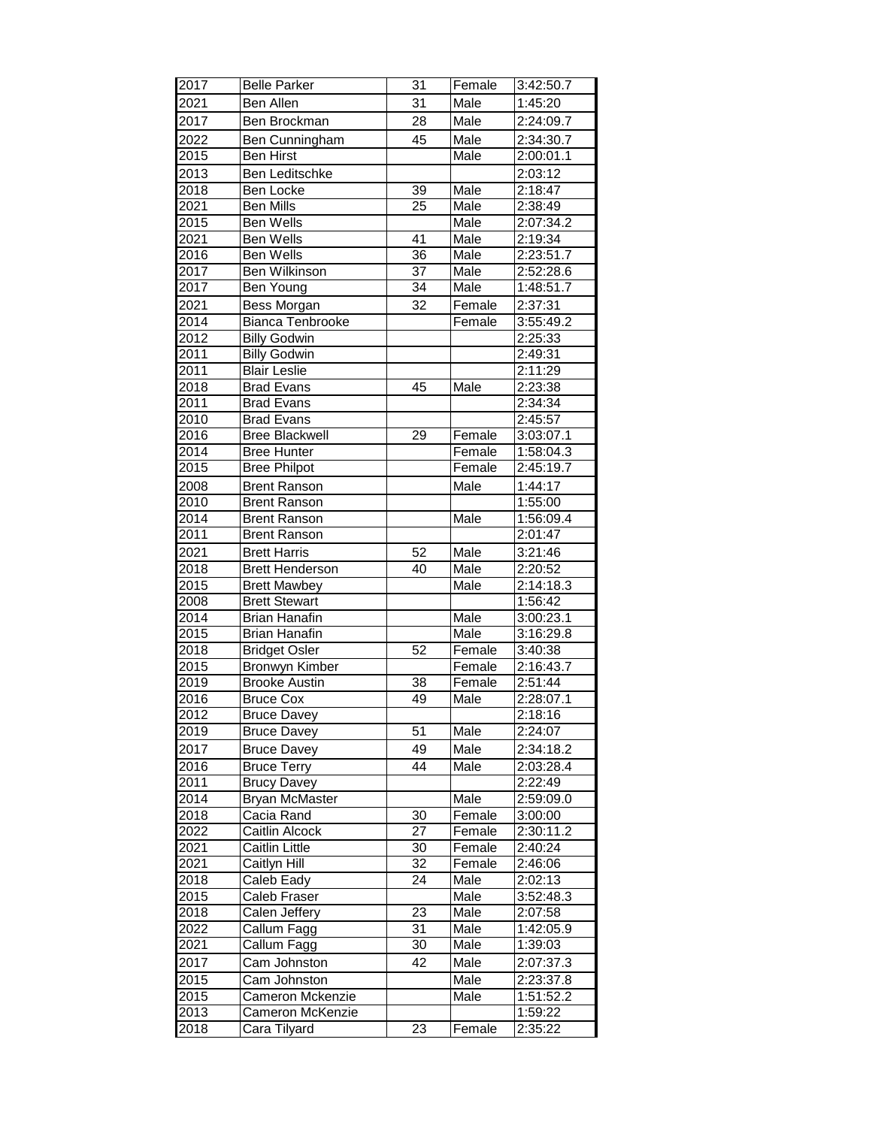| 2017 | <b>Belle Parker</b>     | 31              | Female | 3:42:50.7              |
|------|-------------------------|-----------------|--------|------------------------|
| 2021 | Ben Allen               | 31              | Male   | 1:45:20                |
| 2017 | Ben Brockman            | 28              | Male   | 2:24:09.7              |
| 2022 | Ben Cunningham          | 45              | Male   | 2:34:30.7              |
| 2015 | <b>Ben Hirst</b>        |                 | Male   | 2:00:01.1              |
| 2013 | <b>Ben Leditschke</b>   |                 |        | 2:03:12                |
| 2018 | Ben Locke               | $\overline{39}$ | Male   | 2:18:47                |
| 2021 | <b>Ben Mills</b>        | 25              | Male   | 2:38:49                |
| 2015 | Ben Wells               |                 | Male   | 2:07:34.2              |
| 2021 | Ben Wells               | 41              | Male   | 2:19:34                |
| 2016 | Ben Wells               | $\overline{36}$ | Male   | 2:23:51.7              |
| 2017 | Ben Wilkinson           | $\overline{37}$ | Male   | 2:52:28.6              |
| 2017 | Ben Young               | 34              | Male   | 1:48:51.7              |
| 2021 | Bess Morgan             | 32              | Female | 2:37:31                |
| 2014 | <b>Bianca Tenbrooke</b> |                 | Female | 3:55:49.2              |
| 2012 | <b>Billy Godwin</b>     |                 |        | 2:25:33                |
| 2011 | <b>Billy Godwin</b>     |                 |        | 2:49:31                |
| 2011 | <b>Blair Leslie</b>     |                 |        | 2:11:29                |
| 2018 | <b>Brad Evans</b>       | 45              | Male   | 2:23:38                |
| 2011 | <b>Brad Evans</b>       |                 |        | 2:34:34                |
| 2010 | <b>Brad Evans</b>       |                 |        | 2:45:57                |
| 2016 | <b>Bree Blackwell</b>   | 29              | Female | 3:03:07.1              |
| 2014 | <b>Bree Hunter</b>      |                 | Female | 1:58:04.3              |
| 2015 | <b>Bree Philpot</b>     |                 | Female | 2:45:19.7              |
| 2008 | <b>Brent Ranson</b>     |                 | Male   | 1:44:17                |
| 2010 | <b>Brent Ranson</b>     |                 |        | 1:55:00                |
| 2014 | <b>Brent Ranson</b>     |                 | Male   | 1:56:09.4              |
| 2011 | <b>Brent Ranson</b>     |                 |        | 2:01:47                |
| 2021 | <b>Brett Harris</b>     | 52              | Male   | 3:21:46                |
| 2018 | <b>Brett Henderson</b>  | 40              | Male   | 2:20:52                |
| 2015 | <b>Brett Mawbey</b>     |                 | Male   | 2:14:18.3              |
| 2008 | <b>Brett Stewart</b>    |                 |        | 1:56:42                |
| 2014 | <b>Brian Hanafin</b>    |                 | Male   | 3:00:23.1              |
| 2015 | <b>Brian Hanafin</b>    |                 | Male   | 3:16:29.8              |
| 2018 | <b>Bridget Osler</b>    | 52              | Female | 3:40:38                |
| 2015 | Bronwyn Kimber          |                 | Female | 2:16:43.7              |
| 2019 | <b>Brooke Austin</b>    | 38              | Female | 2:51:44                |
| 2016 | <b>Bruce Cox</b>        | 49              | Male   | 2:28:07.1              |
| 2012 | <b>Bruce Davey</b>      |                 |        | 2:18:16                |
| 2019 | <b>Bruce Davey</b>      | 51              | Male   | 2:24:07                |
| 2017 | <b>Bruce Davey</b>      | 49              | Male   | 2:34:18.2              |
| 2016 | <b>Bruce Terry</b>      | 44              | Male   | 2:03:28.4              |
| 2011 | <b>Brucy Davey</b>      |                 |        | 2:22:49                |
| 2014 | <b>Bryan McMaster</b>   |                 | Male   | 2:59:09.0              |
| 2018 | Cacia Rand              | $\overline{30}$ | Female | 3:00:00                |
| 2022 | <b>Caitlin Alcock</b>   | 27              | Female | 2:30:11.2              |
| 2021 | <b>Caitlin Little</b>   | 30              | Female | 2:40:24                |
| 2021 | Caitlyn Hill            | 32              | Female | 2:46:06                |
| 2018 | Caleb Eady              | 24              | Male   | 2:02:13                |
| 2015 | Caleb Fraser            |                 | Male   | $3:52:48.\overline{3}$ |
| 2018 | Calen Jeffery           | 23              | Male   | 2:07:58                |
| 2022 | Callum Fagg             | 31              | Male   | 1:42:05.9              |
| 2021 | Callum Fagg             | $\overline{30}$ | Male   | 1:39:03                |
| 2017 | Cam Johnston            | 42              | Male   | 2:07:37.3              |
| 2015 | Cam Johnston            |                 | Male   | 2:23:37.8              |
| 2015 | Cameron Mckenzie        |                 | Male   | 1:51:52.2              |
| 2013 | Cameron McKenzie        |                 |        | 1:59:22                |
| 2018 | Cara Tilyard            | $\overline{2}3$ | Female | 2:35:22                |
|      |                         |                 |        |                        |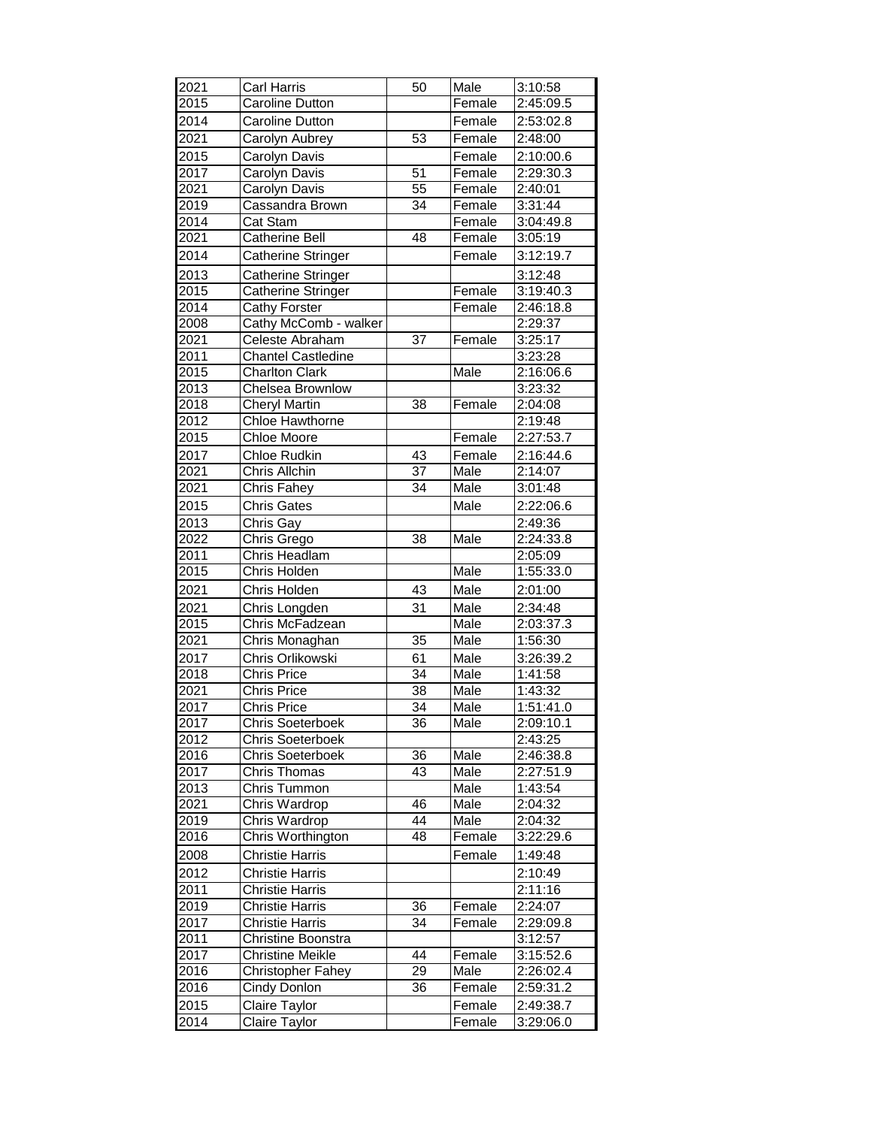| 2021              | Carl Harris                | 50              | Male             | 3:10:58   |
|-------------------|----------------------------|-----------------|------------------|-----------|
| 2015              | Caroline Dutton            |                 | Female           | 2:45:09.5 |
| 2014              | <b>Caroline Dutton</b>     |                 | Female           | 2:53:02.8 |
| 2021              | Carolyn Aubrey             | 53              | Female           | 2:48:00   |
| 2015              |                            |                 |                  | 2:10:00.6 |
|                   | Carolyn Davis              | $\overline{51}$ | Female           | 2:29:30.3 |
| 2017<br>2021      | Carolyn Davis              |                 | Female           |           |
|                   | Carolyn Davis              | 55              | Female           | 2:40:01   |
| 2019              | Cassandra Brown            | 34              | Female           | 3:31:44   |
| 2014              | Cat Stam<br>Catherine Bell | 48              | Female<br>Female | 3:04:49.8 |
| 2021              |                            |                 |                  | 3:05:19   |
| 2014              | Catherine Stringer         |                 | Female           | 3:12:19.7 |
| 2013              | <b>Catherine Stringer</b>  |                 |                  | 3:12:48   |
| 2015              | Catherine Stringer         |                 | Female           | 3:19:40.3 |
| $201\overline{4}$ | Cathy Forster              |                 | Female           | 2:46:18.8 |
| 2008              | Cathy McComb - walker      |                 |                  | 2:29:37   |
| 2021              | Celeste Abraham            | 37              | Female           | 3:25:17   |
| 2011              | <b>Chantel Castledine</b>  |                 |                  | 3:23:28   |
| 2015              | <b>Charlton Clark</b>      |                 | Male             | 2:16:06.6 |
| 2013              | Chelsea Brownlow           |                 |                  | 3:23:32   |
| 2018              | <b>Cheryl Martin</b>       | 38              | Female           | 2:04:08   |
| 2012              | Chloe Hawthorne            |                 |                  | 2:19:48   |
| 2015              | <b>Chloe Moore</b>         |                 | Female           | 2:27:53.7 |
| 2017              | Chloe Rudkin               | 43              | Female           | 2:16:44.6 |
| 2021              | Chris Allchin              | $\overline{37}$ | Male             | 2:14:07   |
| 2021              | Chris Fahey                | 34              | Male             | 3:01:48   |
| 2015              | <b>Chris Gates</b>         |                 | Male             | 2:22:06.6 |
| 2013              | Chris Gay                  |                 |                  | 2:49:36   |
| 2022              | Chris Grego                | 38              | Male             | 2:24:33.8 |
| 2011              | Chris Headlam              |                 |                  | 2:05:09   |
| 2015              | Chris Holden               |                 | Male             | 1:55:33.0 |
| 2021              | Chris Holden               | 43              | Male             | 2:01:00   |
| 2021              | Chris Longden              | 31              | Male             | 2:34:48   |
| 2015              | Chris McFadzean            |                 | Male             | 2:03:37.3 |
| 2021              | Chris Monaghan             | 35              | Male             | 1:56:30   |
| 2017              | Chris Orlikowski           | 61              | Male             | 3:26:39.2 |
| 2018              | <b>Chris Price</b>         | $\overline{34}$ | Male             | 1:41:58   |
| 2021              | Chris Price                | 38              | Male             | 1:43:32   |
| 2017              | Chris Price                | $\overline{34}$ | Male             | 1:51:41.0 |
| 2017              | Chris Soeterboek           | 36              | Male             | 2:09:10.1 |
| 2012              | <b>Chris Soeterboek</b>    |                 |                  | 2:43:25   |
| 2016              | <b>Chris Soeterboek</b>    | 36              | Male             | 2:46:38.8 |
| 2017              | Chris Thomas               | $\overline{43}$ | Male             | 2:27:51.9 |
| 2013              | Chris Tummon               |                 | Male             | 1:43:54   |
| 2021              | Chris Wardrop              | 46              | Male             | 2:04:32   |
| 2019              | Chris Wardrop              | 44              | Male             | 2:04:32   |
| 2016              | Chris Worthington          | 48              | Female           | 3:22:29.6 |
| 2008              | Christie Harris            |                 | Female           | 1:49:48   |
| 2012              | <b>Christie Harris</b>     |                 |                  | 2:10:49   |
| 2011              | <b>Christie Harris</b>     |                 |                  | 2:11:16   |
| 2019              | <b>Christie Harris</b>     | 36              | Female           | 2:24:07   |
| 2017              | Christie Harris            | 34              | Female           | 2:29:09.8 |
| 2011              | Christine Boonstra         |                 |                  | 3:12:57   |
| 2017              | <b>Christine Meikle</b>    | 44              | Female           | 3:15:52.6 |
| 2016              | Christopher Fahey          | 29              | Male             | 2:26:02.4 |
| 2016              | Cindy Donlon               | 36              | Female           | 2:59:31.2 |
| 2015              | Claire Taylor              |                 | Female           | 2:49:38.7 |
| 2014              | Claire Taylor              |                 | Female           | 3:29:06.0 |
|                   |                            |                 |                  |           |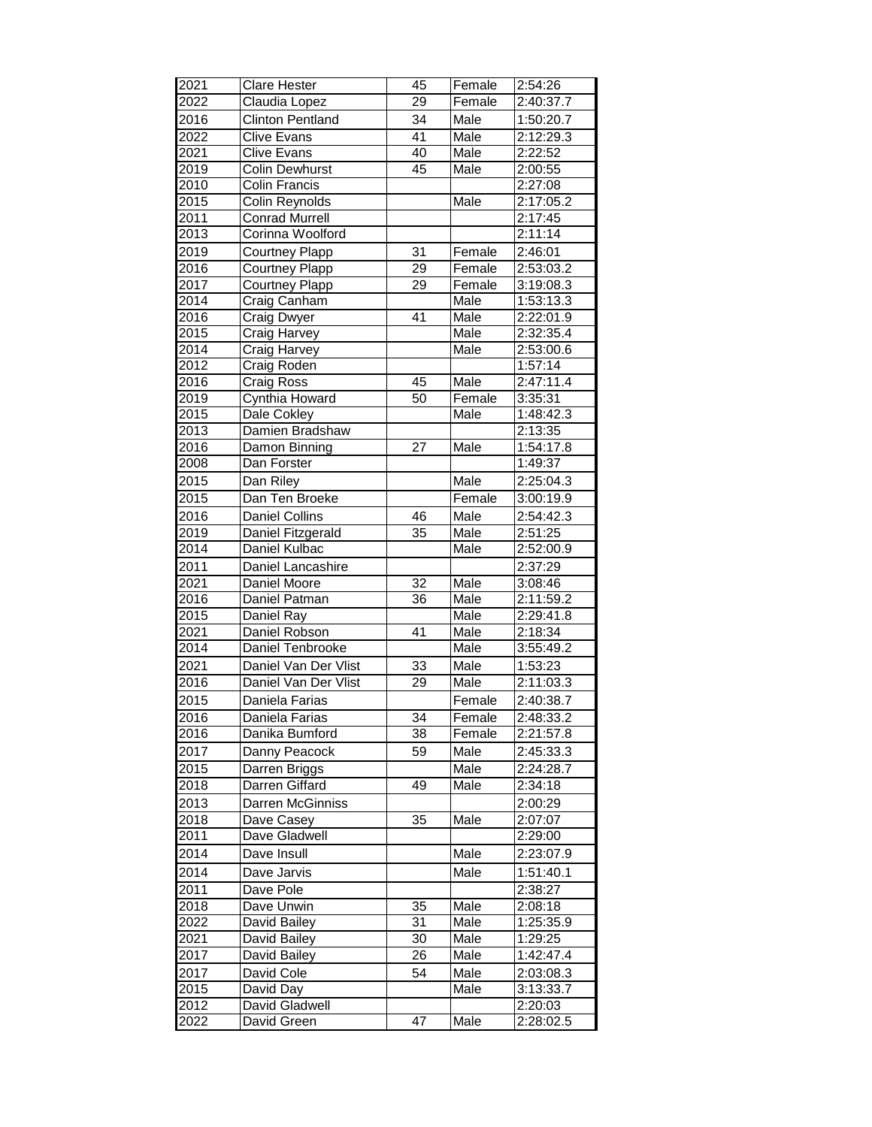| 2021              | <b>Clare Hester</b>     | 45              | Female | 2:54:26   |
|-------------------|-------------------------|-----------------|--------|-----------|
| 2022              | Claudia Lopez           | $\overline{29}$ | Female | 2:40:37.7 |
| 2016              | <b>Clinton Pentland</b> | 34              | Male   | 1:50:20.7 |
| 2022              | <b>Clive Evans</b>      | $\overline{41}$ | Male   | 2:12:29.3 |
| 2021              | <b>Clive Evans</b>      | 40              | Male   | 2:22:52   |
| 2019              | <b>Colin Dewhurst</b>   | 45              | Male   | 2:00:55   |
| 2010              | <b>Colin Francis</b>    |                 |        | 2:27:08   |
| 2015              | Colin Reynolds          |                 | Male   | 2:17:05.2 |
| 2011              | <b>Conrad Murrell</b>   |                 |        | 2:17:45   |
| 2013              | Corinna Woolford        |                 |        | 2:11:14   |
| 2019              | Courtney Plapp          | 31              | Female | 2:46:01   |
| 2016              | <b>Courtney Plapp</b>   | $\overline{29}$ | Female | 2:53:03.2 |
| 2017              | <b>Courtney Plapp</b>   | $\overline{29}$ | Female | 3:19:08.3 |
| 2014              | Craig Canham            |                 | Male   | 1:53:13.3 |
| 2016              | <b>Craig Dwyer</b>      | 41              | Male   | 2:22:01.9 |
| 2015              | Craig Harvey            |                 | Male   | 2:32:35.4 |
| 2014              | Craig Harvey            |                 | Male   | 2:53:00.6 |
| 2012              | Craig Roden             |                 |        | 1:57:14   |
| 2016              | Craig Ross              | 45              | Male   | 2:47:11.4 |
| 2019              | Cynthia Howard          | 50              | Female | 3:35:31   |
| 2015              | Dale Cokley             |                 | Male   | 1:48:42.3 |
| 2013              | Damien Bradshaw         |                 |        | 2:13:35   |
| 2016              | Damon Binning           | $\overline{27}$ | Male   | 1:54:17.8 |
| 2008              | Dan Forster             |                 |        | 1:49:37   |
| 2015              | Dan Riley               |                 | Male   | 2:25:04.3 |
| 2015              | Dan Ten Broeke          |                 | Female | 3:00:19.9 |
| 2016              | <b>Daniel Collins</b>   | 46              | Male   | 2:54:42.3 |
| 2019              | Daniel Fitzgerald       | 35              | Male   | 2:51:25   |
| 2014              | Daniel Kulbac           |                 | Male   | 2:52:00.9 |
| 2011              | Daniel Lancashire       |                 |        | 2:37:29   |
| 2021              | Daniel Moore            | $\overline{32}$ | Male   | 3:08:46   |
| 2016              | Daniel Patman           | 36              | Male   | 2:11:59.2 |
| 2015              | Daniel Ray              |                 | Male   | 2:29:41.8 |
| 2021              | Daniel Robson           | 41              | Male   | 2:18:34   |
| 2014              | Daniel Tenbrooke        |                 | Male   | 3:55:49.2 |
| 2021              | Daniel Van Der Vlist    | 33              | Male   | 1:53:23   |
| 2016              | Daniel Van Der Vlist    | 29              | Male   | 2:11:03.3 |
| 2015              | Daniela Farias          |                 | Female | 2:40:38.7 |
| 2016              | Daniela Farias          | 34              | Female | 2:48:33.2 |
| 2016              | Danika Bumford          | 38              | Female | 2:21:57.8 |
| 2017              | Danny Peacock           | 59              | Male   | 2:45:33.3 |
| 2015              | Darren Briggs           |                 | Male   | 2:24:28.7 |
| 2018              | Darren Giffard          | 49              | Male   | 2:34:18   |
| 2013              | Darren McGinniss        |                 |        | 2:00:29   |
| 2018              | Dave Casey              | 35              | Male   | 2:07:07   |
| 2011              | Dave Gladwell           |                 |        | 2:29:00   |
| 2014              | Dave Insull             |                 | Male   | 2:23:07.9 |
| 2014              | Dave Jarvis             |                 | Male   | 1:51:40.1 |
| 2011              | Dave Pole               |                 |        | 2:38:27   |
| 2018              | Dave Unwin              | 35              | Male   | 2:08:18   |
| 2022              | David Bailey            | 31              | Male   | 1:25:35.9 |
| 2021              | David Bailey            | 30              | Male   | 1:29:25   |
| 2017              | David Bailey            | 26              | Male   | 1:42:47.4 |
| 2017              | David Cole              | 54              | Male   | 2:03:08.3 |
| $20\overline{15}$ | David Day               |                 | Male   | 3:13:33.7 |
| 2012              | David Gladwell          |                 |        | 2:20:03   |
| 2022              | David Green             | $\overline{47}$ | Male   | 2:28:02.5 |
|                   |                         |                 |        |           |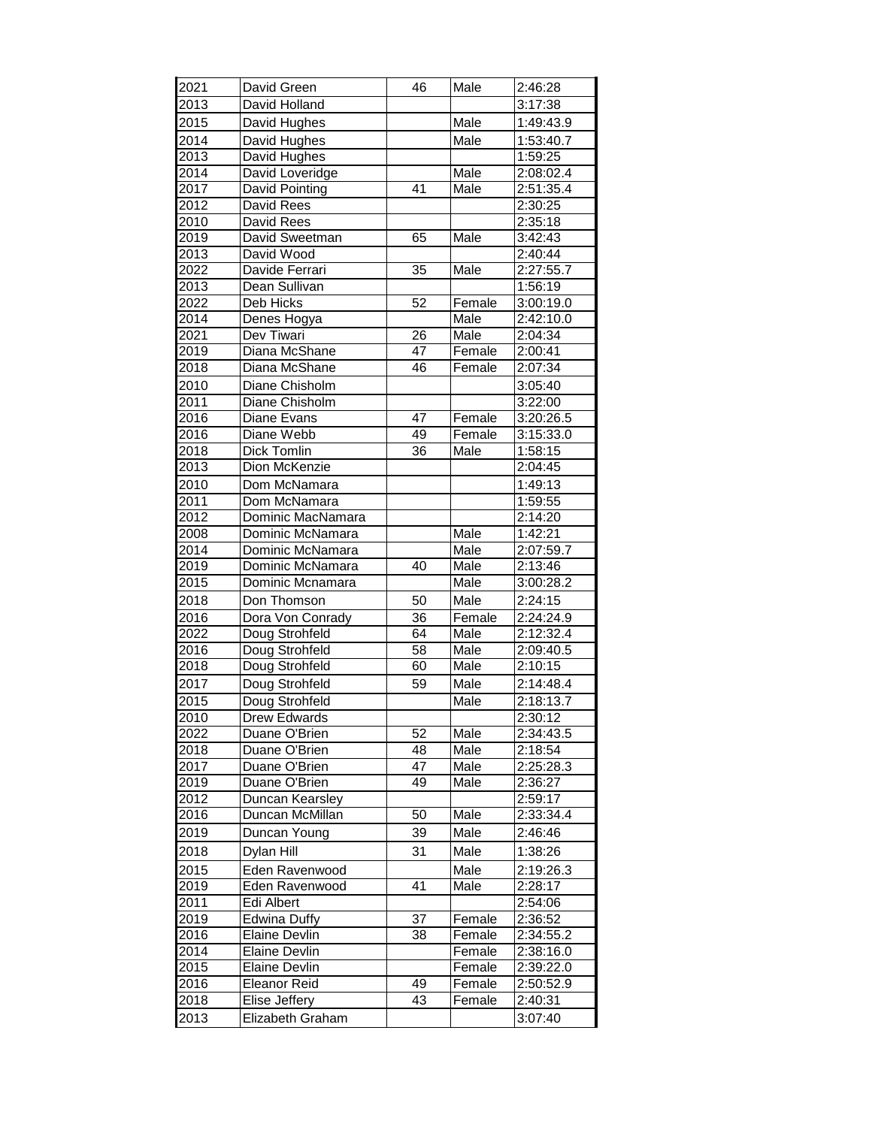| 2021 | David Green          | 46              | Male   | 2:46:28   |
|------|----------------------|-----------------|--------|-----------|
| 2013 | David Holland        |                 |        | 3:17:38   |
| 2015 | David Hughes         |                 | Male   | 1:49:43.9 |
| 2014 | David Hughes         |                 | Male   | 1:53:40.7 |
| 2013 | David Hughes         |                 |        | 1:59:25   |
| 2014 | David Loveridge      |                 | Male   | 2:08:02.4 |
| 2017 | David Pointing       | 41              | Male   | 2:51:35.4 |
| 2012 | David Rees           |                 |        | 2:30:25   |
| 2010 | David Rees           |                 |        | 2:35:18   |
| 2019 | David Sweetman       | 65              | Male   | 3:42:43   |
| 2013 | David Wood           |                 |        | 2:40:44   |
| 2022 | Davide Ferrari       | 35              | Male   | 2:27:55.7 |
| 2013 | Dean Sullivan        |                 |        | 1:56:19   |
| 2022 | Deb Hicks            | 52              | Female | 3:00:19.0 |
| 2014 | Denes Hogya          |                 | Male   | 2:42:10.0 |
| 2021 | Dev Tiwari           | 26              | Male   | 2:04:34   |
| 2019 | Diana McShane        | 47              | Female | 2:00:41   |
| 2018 | Diana McShane        | 46              | Female | 2:07:34   |
| 2010 | Diane Chisholm       |                 |        | 3:05:40   |
| 2011 | Diane Chisholm       |                 |        | 3:22:00   |
| 2016 | Diane Evans          | 47              | Female | 3:20:26.5 |
| 2016 | Diane Webb           | 49              | Female | 3:15:33.0 |
| 2018 | Dick Tomlin          | $\overline{36}$ | Male   | 1:58:15   |
| 2013 | Dion McKenzie        |                 |        | 2:04:45   |
| 2010 | Dom McNamara         |                 |        | 1:49:13   |
| 2011 | Dom McNamara         |                 |        | 1:59:55   |
| 2012 | Dominic MacNamara    |                 |        | 2:14:20   |
| 2008 | Dominic McNamara     |                 | Male   | 1:42:21   |
| 2014 | Dominic McNamara     |                 | Male   | 2:07:59.7 |
| 2019 | Dominic McNamara     | 40              | Male   | 2:13:46   |
| 2015 | Dominic Mcnamara     |                 | Male   | 3:00:28.2 |
| 2018 | Don Thomson          | 50              | Male   | 2:24:15   |
| 2016 | Dora Von Conrady     | 36              | Female | 2:24:24.9 |
| 2022 | Doug Strohfeld       | 64              | Male   | 2:12:32.4 |
| 2016 | Doug Strohfeld       | 58              | Male   | 2:09:40.5 |
| 2018 | Doug Strohfeld       | 60              | Male   | 2:10:15   |
| 2017 | Doug Strohfeld       | 59              | Male   | 2:14:48.4 |
| 2015 | Doug Strohfeld       |                 | Male   | 2:18:13.7 |
| 2010 | <b>Drew Edwards</b>  |                 |        | 2:30:12   |
| 2022 | Duane O'Brien        | 52              | Male   | 2:34:43.5 |
| 2018 | Duane O'Brien        | 48              | Male   | 2:18:54   |
| 2017 | Duane O'Brien        | 47              | Male   | 2:25:28.3 |
| 2019 | Duane O'Brien        | 49              | Male   | 2:36:27   |
| 2012 | Duncan Kearsley      |                 |        | 2:59:17   |
| 2016 | Duncan McMillan      | 50              | Male   | 2:33:34.4 |
| 2019 | Duncan Young         | 39              | Male   | 2:46:46   |
| 2018 | Dylan Hill           | 31              | Male   | 1:38:26   |
| 2015 | Eden Ravenwood       |                 | Male   | 2:19:26.3 |
| 2019 | Eden Ravenwood       | 41              | Male   | 2:28:17   |
| 2011 | Edi Albert           |                 |        | 2:54:06   |
| 2019 | <b>Edwina Duffy</b>  | 37              | Female | 2:36:52   |
| 2016 | Elaine Devlin        | 38              | Female | 2:34:55.2 |
| 2014 | Elaine Devlin        |                 | Female | 2:38:16.0 |
| 2015 | <b>Elaine Devlin</b> |                 | Female | 2:39:22.0 |
| 2016 | <b>Eleanor Reid</b>  | 49              | Female | 2:50:52.9 |
| 2018 | Elise Jeffery        | 43              | Female | 2:40:31   |
| 2013 | Elizabeth Graham     |                 |        | 3:07:40   |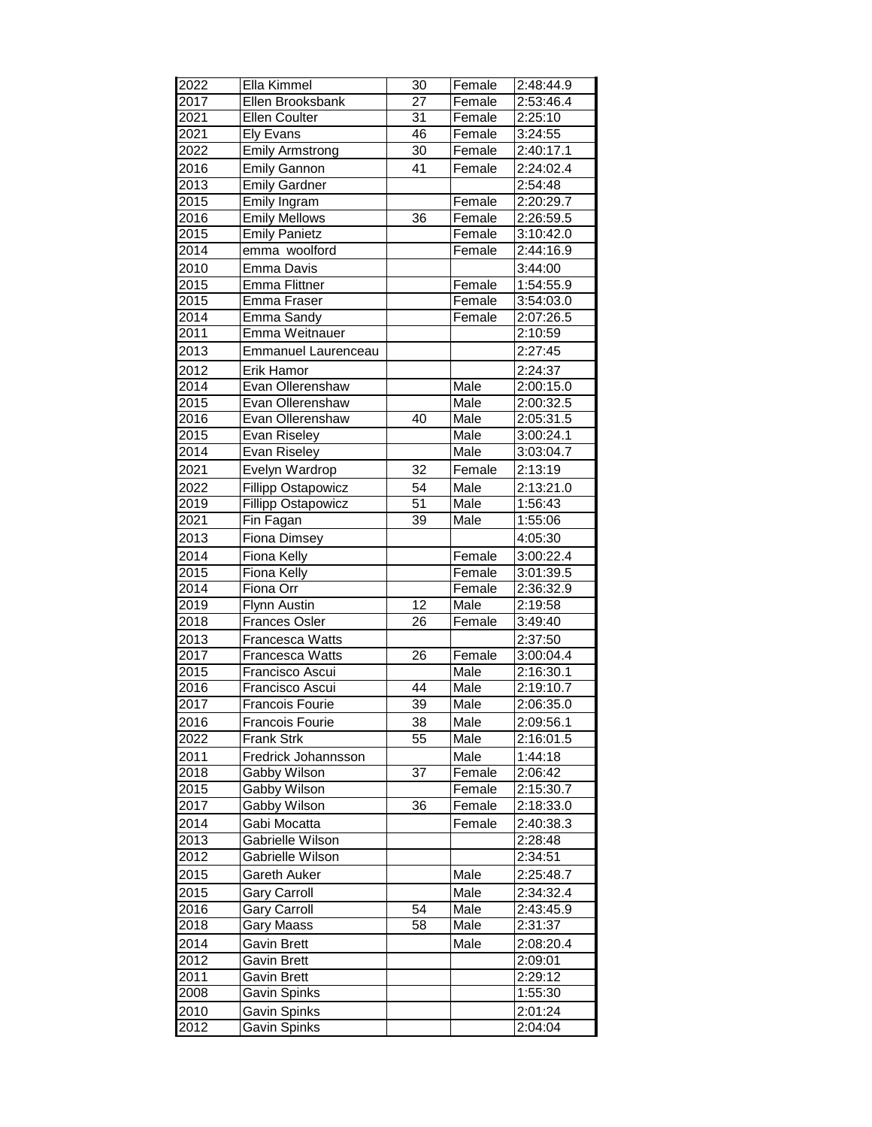| 2022 | Ella Kimmel                | 30              | Female | 2:48:44.9 |
|------|----------------------------|-----------------|--------|-----------|
| 2017 | Ellen Brooksbank           | $\overline{27}$ | Female | 2:53:46.4 |
| 2021 | <b>Ellen Coulter</b>       | 31              | Female | 2:25:10   |
| 2021 | <b>Ely Evans</b>           | 46              | Female | 3:24:55   |
| 2022 | <b>Emily Armstrong</b>     | 30              | Female | 2:40:17.1 |
| 2016 | <b>Emily Gannon</b>        | 41              | Female | 2:24:02.4 |
| 2013 | <b>Emily Gardner</b>       |                 |        | 2:54:48   |
| 2015 | Emily Ingram               |                 | Female | 2:20:29.7 |
| 2016 | <b>Emily Mellows</b>       | 36              | Female | 2:26:59.5 |
| 2015 | <b>Emily Panietz</b>       |                 | Female | 3:10:42.0 |
| 2014 | emma woolford              |                 | Female | 2:44:16.9 |
| 2010 | Emma Davis                 |                 |        | 3:44:00   |
| 2015 | <b>Emma Flittner</b>       |                 | Female | 1:54:55.9 |
| 2015 | Emma Fraser                |                 | Female | 3:54:03.0 |
| 2014 | Emma Sandy                 |                 | Female | 2:07:26.5 |
| 2011 | Emma Weitnauer             |                 |        | 2:10:59   |
| 2013 | <b>Emmanuel Laurenceau</b> |                 |        | 2:27:45   |
| 2012 | <b>Erik Hamor</b>          |                 |        | 2:24:37   |
| 2014 | Evan Ollerenshaw           |                 | Male   | 2:00:15.0 |
| 2015 | Evan Ollerenshaw           |                 | Male   | 2:00:32.5 |
| 2016 | Evan Ollerenshaw           | 40              | Male   | 2:05:31.5 |
| 2015 | Evan Riseley               |                 | Male   | 3:00:24.1 |
| 2014 | Evan Riseley               |                 | Male   | 3:03:04.7 |
| 2021 | Evelyn Wardrop             | 32              | Female | 2:13:19   |
| 2022 | <b>Fillipp Ostapowicz</b>  | 54              | Male   | 2:13:21.0 |
| 2019 | <b>Fillipp Ostapowicz</b>  | 51              | Male   | 1:56:43   |
| 2021 | Fin Fagan                  | 39              | Male   | 1:55:06   |
| 2013 | <b>Fiona Dimsey</b>        |                 |        | 4:05:30   |
| 2014 | Fiona Kelly                |                 | Female | 3:00:22.4 |
| 2015 | Fiona Kelly                |                 | Female | 3:01:39.5 |
| 2014 | Fiona Orr                  |                 | Female | 2:36:32.9 |
| 2019 | <b>Flynn Austin</b>        | 12              | Male   | 2:19:58   |
| 2018 | Frances Osler              | 26              | Female | 3:49:40   |
| 2013 | <b>Francesca Watts</b>     |                 |        | 2:37:50   |
| 2017 | <b>Francesca Watts</b>     | $\overline{26}$ | Female | 3:00:04.4 |
| 2015 | Francisco Ascui            |                 | Male   | 2:16:30.1 |
| 2016 | Francisco Ascui            | 44              | Male   | 2:19:10.7 |
| 2017 | <b>Francois Fourie</b>     | 39              | Male   | 2:06:35.0 |
| 2016 | <b>Francois Fourie</b>     | 38              | Male   | 2:09:56.1 |
| 2022 | <b>Frank Strk</b>          | 55              | Male   | 2:16:01.5 |
| 2011 | Fredrick Johannsson        |                 | Male   | 1:44:18   |
| 2018 | Gabby Wilson               | 37              | Female | 2:06:42   |
| 2015 | Gabby Wilson               |                 | Female | 2:15:30.7 |
| 2017 | Gabby Wilson               | 36              | Female | 2:18:33.0 |
| 2014 | Gabi Mocatta               |                 | Female | 2:40:38.3 |
| 2013 | Gabrielle Wilson           |                 |        | 2:28:48   |
| 2012 | Gabrielle Wilson           |                 |        | 2:34:51   |
| 2015 | Gareth Auker               |                 | Male   | 2:25:48.7 |
| 2015 | <b>Gary Carroll</b>        |                 | Male   | 2:34:32.4 |
| 2016 | <b>Gary Carroll</b>        | 54              | Male   | 2:43:45.9 |
| 2018 | Gary Maass                 | 58              | Male   | 2:31:37   |
| 2014 | Gavin Brett                |                 | Male   | 2:08:20.4 |
| 2012 | <b>Gavin Brett</b>         |                 |        | 2:09:01   |
| 2011 | <b>Gavin Brett</b>         |                 |        | 2:29:12   |
| 2008 | Gavin Spinks               |                 |        | 1:55:30   |
| 2010 | Gavin Spinks               |                 |        | 2:01:24   |
| 2012 | Gavin Spinks               |                 |        | 2:04:04   |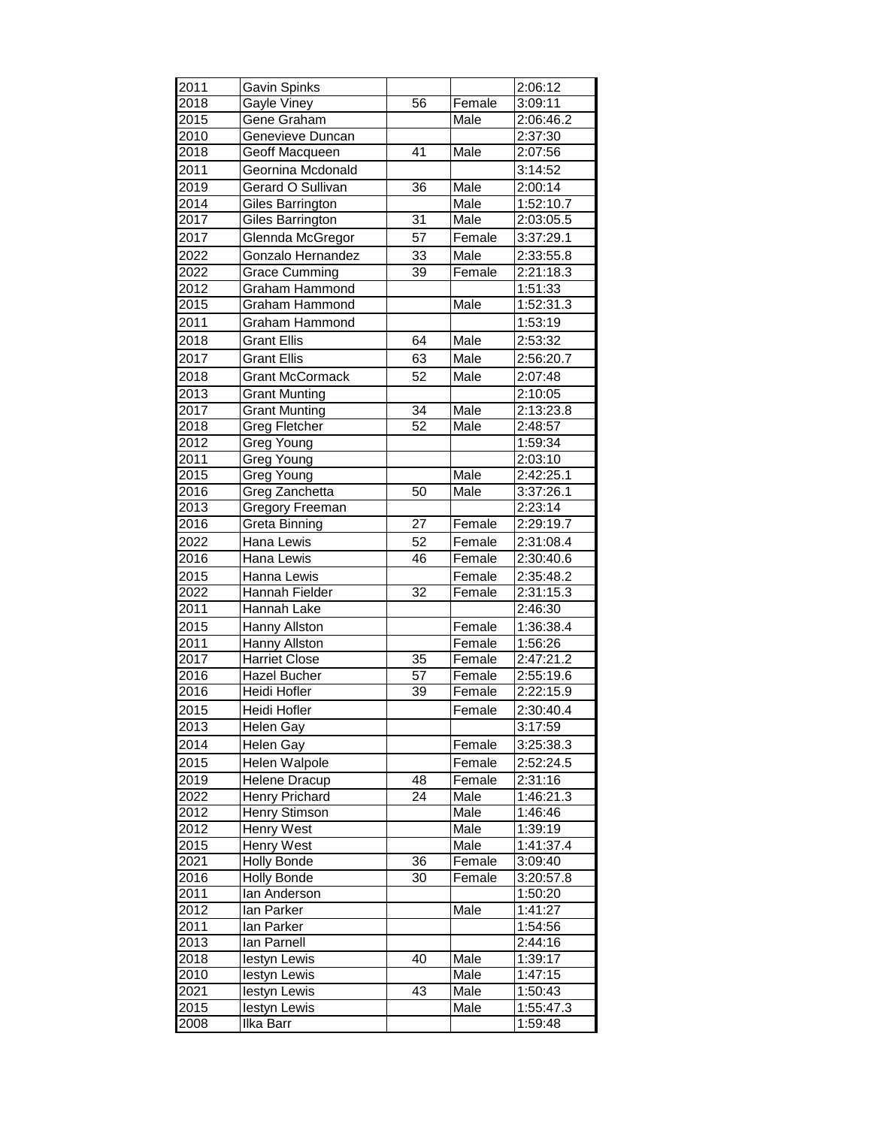| 2011 | Gavin Spinks           |                 |        | 2:06:12   |
|------|------------------------|-----------------|--------|-----------|
| 2018 | Gayle Viney            | 56              | Female | 3:09:11   |
| 2015 | Gene Graham            |                 | Male   | 2:06:46.2 |
| 2010 | Genevieve Duncan       |                 |        | 2:37:30   |
| 2018 | Geoff Macqueen         | 41              | Male   | 2:07:56   |
| 2011 | Geornina Mcdonald      |                 |        | 3:14:52   |
| 2019 | Gerard O Sullivan      | $\overline{36}$ | Male   | 2:00:14   |
| 2014 | Giles Barrington       |                 | Male   | 1:52:10.7 |
| 2017 | Giles Barrington       | $\overline{31}$ | Male   | 2:03:05.5 |
| 2017 | Glennda McGregor       | 57              | Female | 3:37:29.1 |
|      |                        |                 |        |           |
| 2022 | Gonzalo Hernandez      | 33              | Male   | 2:33:55.8 |
| 2022 | <b>Grace Cumming</b>   | $\overline{39}$ | Female | 2:21:18.3 |
| 2012 | Graham Hammond         |                 |        | 1:51:33   |
| 2015 | Graham Hammond         |                 | Male   | 1:52:31.3 |
| 2011 | Graham Hammond         |                 |        | 1:53:19   |
| 2018 | <b>Grant Ellis</b>     | 64              | Male   | 2:53:32   |
| 2017 | <b>Grant Ellis</b>     | 63              | Male   | 2:56:20.7 |
| 2018 | <b>Grant McCormack</b> | 52              | Male   | 2:07:48   |
| 2013 | <b>Grant Munting</b>   |                 |        | 2:10:05   |
| 2017 | <b>Grant Munting</b>   | 34              | Male   | 2:13:23.8 |
| 2018 | <b>Greg Fletcher</b>   | 52              | Male   | 2:48:57   |
| 2012 | Greg Young             |                 |        | 1:59:34   |
| 2011 | Greg Young             |                 |        | 2:03:10   |
| 2015 | Greg Young             |                 | Male   | 2:42:25.1 |
| 2016 | Greg Zanchetta         | 50              | Male   | 3:37:26.1 |
| 2013 | <b>Gregory Freeman</b> |                 |        | 2:23:14   |
| 2016 | Greta Binning          | $\overline{27}$ | Female | 2:29:19.7 |
| 2022 | Hana Lewis             | 52              | Female | 2:31:08.4 |
| 2016 | Hana Lewis             | 46              | Female | 2:30:40.6 |
| 2015 | Hanna Lewis            |                 | Female | 2:35:48.2 |
| 2022 | Hannah Fielder         | $\overline{32}$ | Female | 2:31:15.3 |
| 2011 | Hannah Lake            |                 |        | 2:46:30   |
| 2015 | Hanny Allston          |                 | Female | 1:36:38.4 |
| 2011 | Hanny Allston          |                 | Female | 1:56:26   |
| 2017 | <b>Harriet Close</b>   | $\overline{35}$ | Female | 2:47:21.2 |
| 2016 | Hazel Bucher           | 57              | Female | 2:55:19.6 |
| 2016 | Heidi Hofler           | 39              | Female | 2:22:15.9 |
| 2015 | Heidi Hofler           |                 | Female | 2:30:40.4 |
| 2013 | <b>Helen Gay</b>       |                 |        | 3:17:59   |
| 2014 | <b>Helen Gay</b>       |                 |        | 3:25:38.3 |
|      |                        |                 | Female |           |
| 2015 | Helen Walpole          |                 | Female | 2:52:24.5 |
| 2019 | Helene Dracup          | 48              | Female | 2:31:16   |
| 2022 | Henry Prichard         | 24              | Male   | 1:46:21.3 |
| 2012 | Henry Stimson          |                 | Male   | 1:46:46   |
| 2012 | Henry West             |                 | Male   | 1:39:19   |
| 2015 | Henry West             |                 | Male   | 1:41:37.4 |
| 2021 | <b>Holly Bonde</b>     | 36              | Female | 3:09:40   |
| 2016 | <b>Holly Bonde</b>     | 30              | Female | 3:20:57.8 |
| 2011 | lan Anderson           |                 |        | 1:50:20   |
| 2012 | lan Parker             |                 | Male   | 1:41:27   |
| 2011 | lan Parker             |                 |        | 1:54:56   |
| 2013 | lan Parnell            |                 |        | 2:44:16   |
| 2018 | lestyn Lewis           | 40              | Male   | 1:39:17   |
| 2010 | lestyn Lewis           |                 | Male   | 1:47:15   |
| 2021 | lestyn Lewis           | 43              | Male   | 1:50:43   |
| 2015 | lestyn Lewis           |                 | Male   | 1:55:47.3 |
| 2008 | Ilka Barr              |                 |        | 1:59:48   |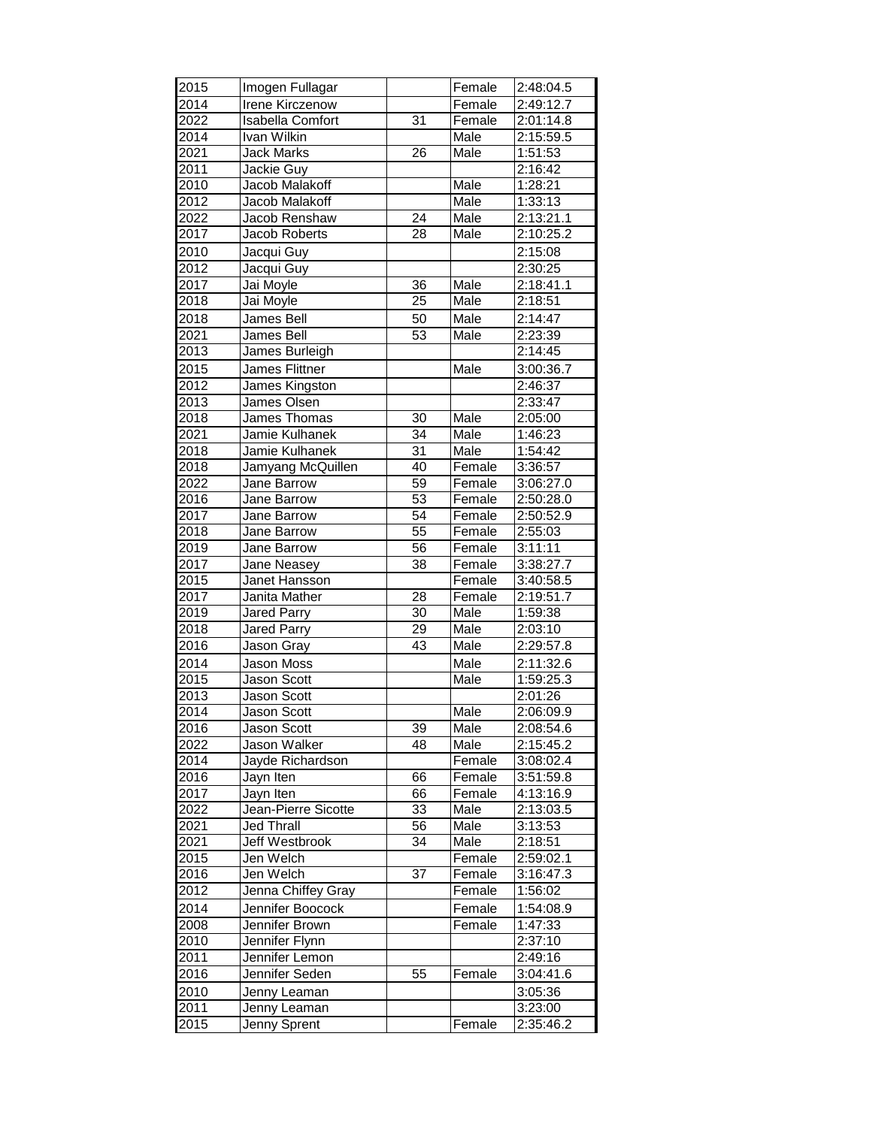| 2015 | Imogen Fullagar         |                 | Female | 2:48:04.5 |
|------|-------------------------|-----------------|--------|-----------|
| 2014 | <b>Irene Kirczenow</b>  |                 | Female | 2:49:12.7 |
| 2022 | <b>Isabella Comfort</b> | 31              | Female | 2:01:14.8 |
| 2014 | Ivan Wilkin             |                 | Male   | 2:15:59.5 |
| 2021 | <b>Jack Marks</b>       | $\overline{26}$ | Male   | 1:51:53   |
| 2011 | Jackie Guy              |                 |        | 2:16:42   |
| 2010 | Jacob Malakoff          |                 | Male   | 1:28:21   |
| 2012 | Jacob Malakoff          |                 | Male   | 1:33:13   |
| 2022 | Jacob Renshaw           | $\overline{24}$ | Male   | 2:13:21.1 |
| 2017 | <b>Jacob Roberts</b>    | 28              | Male   | 2:10:25.2 |
| 2010 | Jacqui Guy              |                 |        | 2:15:08   |
| 2012 | Jacqui Guy              |                 |        | 2:30:25   |
| 2017 | Jai Moyle               | 36              | Male   | 2:18:41.1 |
| 2018 | Jai Moyle               | 25              | Male   | 2:18:51   |
| 2018 | James Bell              | 50              | Male   | 2:14:47   |
| 2021 | James Bell              | 53              | Male   | 2:23:39   |
| 2013 |                         |                 |        |           |
|      | James Burleigh          |                 |        | 2:14:45   |
| 2015 | <b>James Flittner</b>   |                 | Male   | 3:00:36.7 |
| 2012 | James Kingston          |                 |        | 2:46:37   |
| 2013 | James Olsen             |                 |        | 2:33:47   |
| 2018 | James Thomas            | $\overline{30}$ | Male   | 2:05:00   |
| 2021 | Jamie Kulhanek          | $\overline{34}$ | Male   | 1:46:23   |
| 2018 | Jamie Kulhanek          | 31              | Male   | 1:54:42   |
| 2018 | Jamyang McQuillen       | 40              | Female | 3:36:57   |
| 2022 | Jane Barrow             | 59              | Female | 3:06:27.0 |
| 2016 | Jane Barrow             | 53              | Female | 2:50:28.0 |
| 2017 | Jane Barrow             | $\overline{54}$ | Female | 2:50:52.9 |
| 2018 | Jane Barrow             | 55              | Female | 2:55:03   |
| 2019 | Jane Barrow             | 56              | Female | 3:11:11   |
| 2017 | Jane Neasey             | 38              | Female | 3:38:27.7 |
| 2015 | Janet Hansson           |                 | Female | 3:40:58.5 |
| 2017 | Janita Mather           | $\overline{28}$ | Female | 2:19:51.7 |
| 2019 | Jared Parry             | 30              | Male   | 1:59:38   |
| 2018 | <b>Jared Parry</b>      | $\overline{29}$ | Male   | 2:03:10   |
| 2016 | Jason Gray              | $\overline{43}$ | Male   | 2:29:57.8 |
| 2014 | Jason Moss              |                 | Male   | 2:11:32.6 |
| 2015 | <b>Jason Scott</b>      |                 | Male   | 1:59:25.3 |
| 2013 | Jason Scott             |                 |        | 2:01:26   |
| 2014 | Jason Scott             |                 | Male   | 2:06:09.9 |
| 2016 | Jason Scott             | 39              | Male   | 2:08:54.6 |
| 2022 | Jason Walker            | 48              | Male   | 2:15:45.2 |
| 2014 | Jayde Richardson        |                 | Female | 3:08:02.4 |
| 2016 | Jayn Iten               | 66              | Female | 3:51:59.8 |
| 2017 | Jayn Iten               | 66              | Female | 4:13:16.9 |
| 2022 | Jean-Pierre Sicotte     | 33              | Male   | 2:13:03.5 |
| 2021 | Jed Thrall              | 56              | Male   | 3:13:53   |
| 2021 | Jeff Westbrook          | 34              | Male   | 2:18:51   |
| 2015 | Jen Welch               |                 | Female | 2:59:02.1 |
| 2016 | Jen Welch               | $\overline{37}$ | Female | 3:16:47.3 |
| 2012 | Jenna Chiffey Gray      |                 | Female | 1:56:02   |
| 2014 | Jennifer Boocock        |                 | Female | 1:54:08.9 |
| 2008 | Jennifer Brown          |                 | Female | 1:47:33   |
| 2010 | Jennifer Flynn          |                 |        | 2:37:10   |
| 2011 | Jennifer Lemon          |                 |        | 2:49:16   |
| 2016 | Jennifer Seden          | 55              | Female | 3:04:41.6 |
| 2010 | Jenny Leaman            |                 |        | 3:05:36   |
| 2011 | Jenny Leaman            |                 |        | 3:23:00   |
| 2015 | Jenny Sprent            |                 | Female | 2:35:46.2 |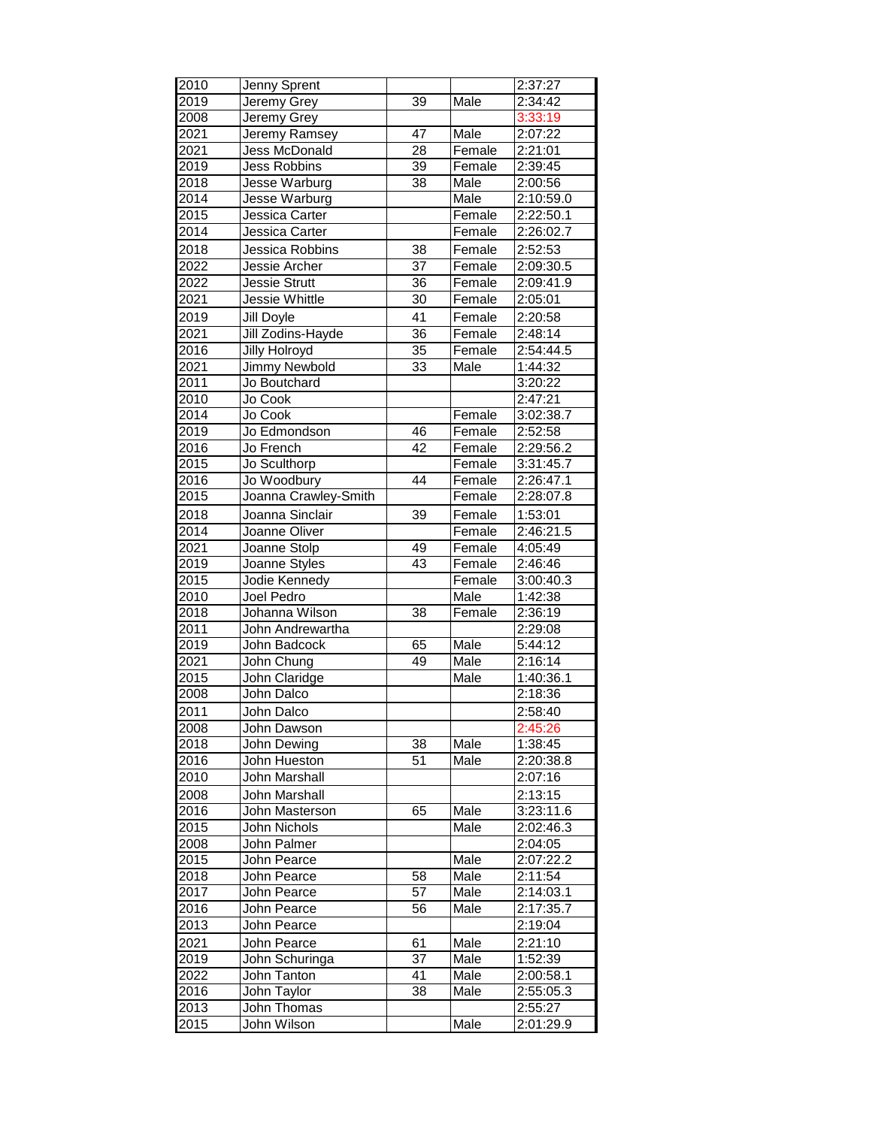| 2010 | Jenny Sprent         |                 |        | 2:37:27   |
|------|----------------------|-----------------|--------|-----------|
| 2019 | Jeremy Grey          | 39              | Male   | 2:34:42   |
| 2008 | Jeremy Grey          |                 |        | 3:33:19   |
| 2021 | Jeremy Ramsey        | 47              | Male   | 2:07:22   |
| 2021 | <b>Jess McDonald</b> | 28              | Female | 2:21:01   |
| 2019 | <b>Jess Robbins</b>  | 39              | Female | 2:39:45   |
| 2018 | Jesse Warburg        | $\overline{38}$ | Male   | 2:00:56   |
| 2014 | Jesse Warburg        |                 | Male   | 2:10:59.0 |
| 2015 | Jessica Carter       |                 | Female | 2:22:50.1 |
| 2014 | Jessica Carter       |                 | Female | 2:26:02.7 |
| 2018 | Jessica Robbins      | 38              | Female | 2:52:53   |
| 2022 | <b>Jessie Archer</b> | $\overline{37}$ | Female | 2:09:30.5 |
|      |                      |                 |        |           |
| 2022 | Jessie Strutt        | 36              | Female | 2:09:41.9 |
| 2021 | Jessie Whittle       | 30              | Female | 2:05:01   |
| 2019 | Jill Doyle           | 41              | Female | 2:20:58   |
| 2021 | Jill Zodins-Hayde    | 36              | Female | 2:48:14   |
| 2016 | <b>Jilly Holroyd</b> | $\overline{35}$ | Female | 2:54:44.5 |
| 2021 | Jimmy Newbold        | 33              | Male   | 1:44:32   |
| 2011 | Jo Boutchard         |                 |        | 3:20:22   |
| 2010 | Jo Cook              |                 |        | 2:47:21   |
| 2014 | Jo Cook              |                 | Female | 3:02:38.7 |
| 2019 | Jo Edmondson         | 46              | Female | 2:52:58   |
| 2016 | Jo French            | 42              | Female | 2:29:56.2 |
| 2015 | Jo Sculthorp         |                 | Female | 3:31:45.7 |
| 2016 | Jo Woodbury          | 44              | Female | 2:26:47.1 |
| 2015 | Joanna Crawley-Smith |                 | Female | 2:28:07.8 |
| 2018 | Joanna Sinclair      | 39              | Female | 1:53:01   |
| 2014 | Joanne Oliver        |                 | Female | 2:46:21.5 |
| 2021 | Joanne Stolp         | 49              | Female | 4:05:49   |
| 2019 | Joanne Styles        | 43              | Female | 2:46:46   |
| 2015 | Jodie Kennedy        |                 | Female | 3:00:40.3 |
| 2010 | Joel Pedro           |                 | Male   | 1:42:38   |
| 2018 | Johanna Wilson       | 38              | Female | 2:36:19   |
| 2011 | John Andrewartha     |                 |        | 2:29:08   |
| 2019 | John Badcock         | 65              | Male   | 5:44:12   |
| 2021 | John Chung           | 49              | Male   | 2:16:14   |
| 2015 | John Claridge        |                 | Male   | 1:40:36.1 |
| 2008 | John Dalco           |                 |        | 2:18:36   |
| 2011 | John Dalco           |                 |        | 2:58:40   |
| 2008 | John Dawson          |                 |        | 2:45:26   |
| 2018 | John Dewing          | 38              | Male   | 1:38:45   |
| 2016 | John Hueston         | 51              | Male   | 2:20:38.8 |
| 2010 | John Marshall        |                 |        |           |
|      |                      |                 |        | 2:07:16   |
| 2008 | <b>John Marshall</b> |                 |        | 2:13:15   |
| 2016 | John Masterson       | 65              | Male   | 3:23:11.6 |
| 2015 | John Nichols         |                 | Male   | 2:02:46.3 |
| 2008 | John Palmer          |                 |        | 2:04:05   |
| 2015 | John Pearce          |                 | Male   | 2:07:22.2 |
| 2018 | John Pearce          | 58              | Male   | 2:11:54   |
| 2017 | John Pearce          | 57              | Male   | 2:14:03.1 |
| 2016 | John Pearce          | $\overline{56}$ | Male   | 2:17:35.7 |
| 2013 | John Pearce          |                 |        | 2:19:04   |
| 2021 | John Pearce          | 61              | Male   | 2:21:10   |
| 2019 | John Schuringa       | 37              | Male   | 1:52:39   |
| 2022 | John Tanton          | 41              | Male   | 2:00:58.1 |
| 2016 | John Taylor          | 38              | Male   | 2:55:05.3 |
| 2013 | John Thomas          |                 |        | 2:55:27   |
| 2015 | John Wilson          |                 | Male   | 2:01:29.9 |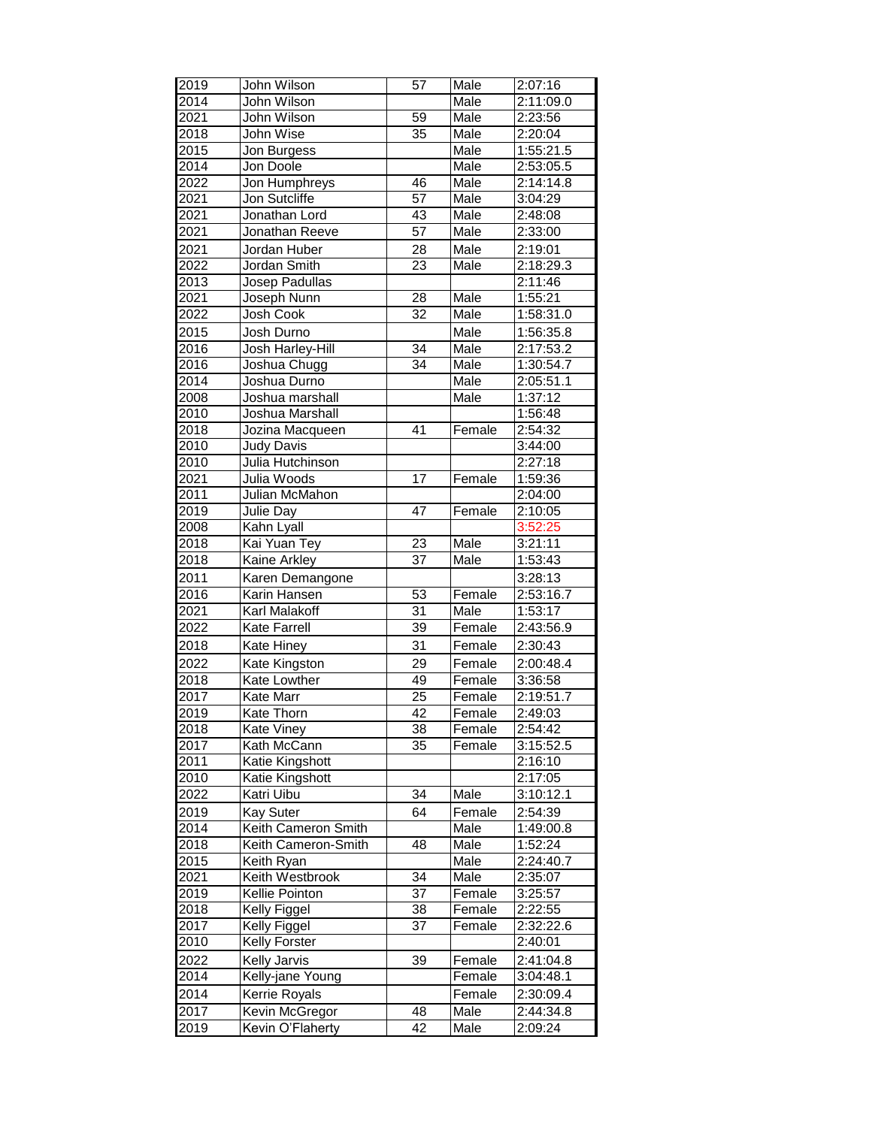| 2019              | John Wilson           | 57              | Male   | 2:07:16   |
|-------------------|-----------------------|-----------------|--------|-----------|
| 2014              | John Wilson           |                 | Male   | 2:11:09.0 |
| 2021              | John Wilson           | 59              | Male   | 2:23:56   |
| 2018              | John Wise             | 35              | Male   | 2:20:04   |
| 2015              | Jon Burgess           |                 | Male   | 1:55:21.5 |
| 2014              | Jon Doole             |                 | Male   | 2:53:05.5 |
| 2022              | Jon Humphreys         | $\overline{46}$ | Male   | 2:14:14.8 |
| 2021              | Jon Sutcliffe         | 57              | Male   | 3:04:29   |
| 2021              | Jonathan Lord         | 43              | Male   | 2:48:08   |
| 2021              | Jonathan Reeve        | $\overline{57}$ | Male   | 2:33:00   |
| 2021              | Jordan Huber          | 28              | Male   | 2:19:01   |
| 2022              | Jordan Smith          | 23              | Male   | 2:18:29.3 |
| 2013              | Josep Padullas        |                 |        | 2:11:46   |
| $20\overline{21}$ | Joseph Nunn           | $\overline{28}$ | Male   | 1:55:21   |
| $20\overline{22}$ | Josh Cook             | $\overline{32}$ | Male   | 1:58:31.0 |
| 2015              | Josh Durno            |                 | Male   | 1:56:35.8 |
| $20\overline{16}$ | Josh Harley-Hill      | $\overline{34}$ | Male   | 2:17:53.2 |
| 2016              | Joshua Chugg          | 34              | Male   | 1:30:54.7 |
| 2014              | Joshua Durno          |                 | Male   | 2:05:51.1 |
| 2008              | Joshua marshall       |                 | Male   | 1:37:12   |
| 2010              | Joshua Marshall       |                 |        | 1:56:48   |
| 2018              | Jozina Macqueen       | 41              | Female | 2:54:32   |
| 2010              | <b>Judy Davis</b>     |                 |        | 3:44:00   |
| 2010              | Julia Hutchinson      |                 |        | 2:27:18   |
| 2021              | Julia Woods           | 17              | Female | 1:59:36   |
| 2011              | Julian McMahon        |                 |        | 2:04:00   |
| 2019              | Julie Day             | 47              | Female | 2:10:05   |
| 2008              | Kahn Lyall            |                 |        | 3:52:25   |
| 2018              | Kai Yuan Tey          | 23              | Male   | 3:21:11   |
| 2018              | Kaine Arkley          | $\overline{37}$ | Male   | 1:53:43   |
| 2011              | Karen Demangone       |                 |        | 3:28:13   |
| 2016              | Karin Hansen          | 53              | Female | 2:53:16.7 |
| 2021              | Karl Malakoff         | 31              | Male   | 1:53:17   |
| 2022              | Kate Farrell          | $\overline{39}$ | Female | 2:43:56.9 |
| 2018              | Kate Hiney            | 31              | Female | 2:30:43   |
| 2022              | Kate Kingston         | 29              | Female | 2:00:48.4 |
| 2018              | Kate Lowther          | 49              | Female | 3:36:58   |
| 2017              | Kate Marr             | $\overline{25}$ | Female | 2:19:51.7 |
| 2019              | Kate Thorn            | $\overline{42}$ | Female | 2:49:03   |
| $\frac{1}{20}$ 18 | <b>Kate Viney</b>     | 38              | Female | 2:54:42   |
| 2017              | Kath McCann           | 35              | Female | 3:15:52.5 |
| 2011              | Katie Kingshott       |                 |        | 2:16:10   |
| 2010              | Katie Kingshott       |                 |        | 2:17:05   |
| 2022              | Katri Uibu            | 34              | Male   | 3:10:12.1 |
| 2019              | Kay Suter             | 64              | Female | 2:54:39   |
| 2014              | Keith Cameron Smith   |                 | Male   | 1:49:00.8 |
| 2018              | Keith Cameron-Smith   | 48              | Male   | 1:52:24   |
| 2015              | Keith Ryan            |                 | Male   | 2:24:40.7 |
| 2021              | Keith Westbrook       | $\overline{34}$ | Male   | 2:35:07   |
| 2019              | Kellie Pointon        | 37              | Female | 3:25:57   |
| 2018              | Kelly Figgel          | $\overline{38}$ | Female | 2:22:55   |
| 2017              | Kelly Figgel          | 37              | Female | 2:32:22.6 |
| 2010              | Kelly Forster         |                 |        | 2:40:01   |
| 2022              | <b>Kelly Jarvis</b>   | 39              | Female | 2:41:04.8 |
| 2014              | Kelly-jane Young      |                 | Female | 3:04:48.1 |
| 2014              | Kerrie Royals         |                 | Female | 2:30:09.4 |
| 2017              | <b>Kevin McGregor</b> | 48              | Male   | 2:44:34.8 |
| 2019              | Kevin O'Flaherty      | 42              | Male   | 2:09:24   |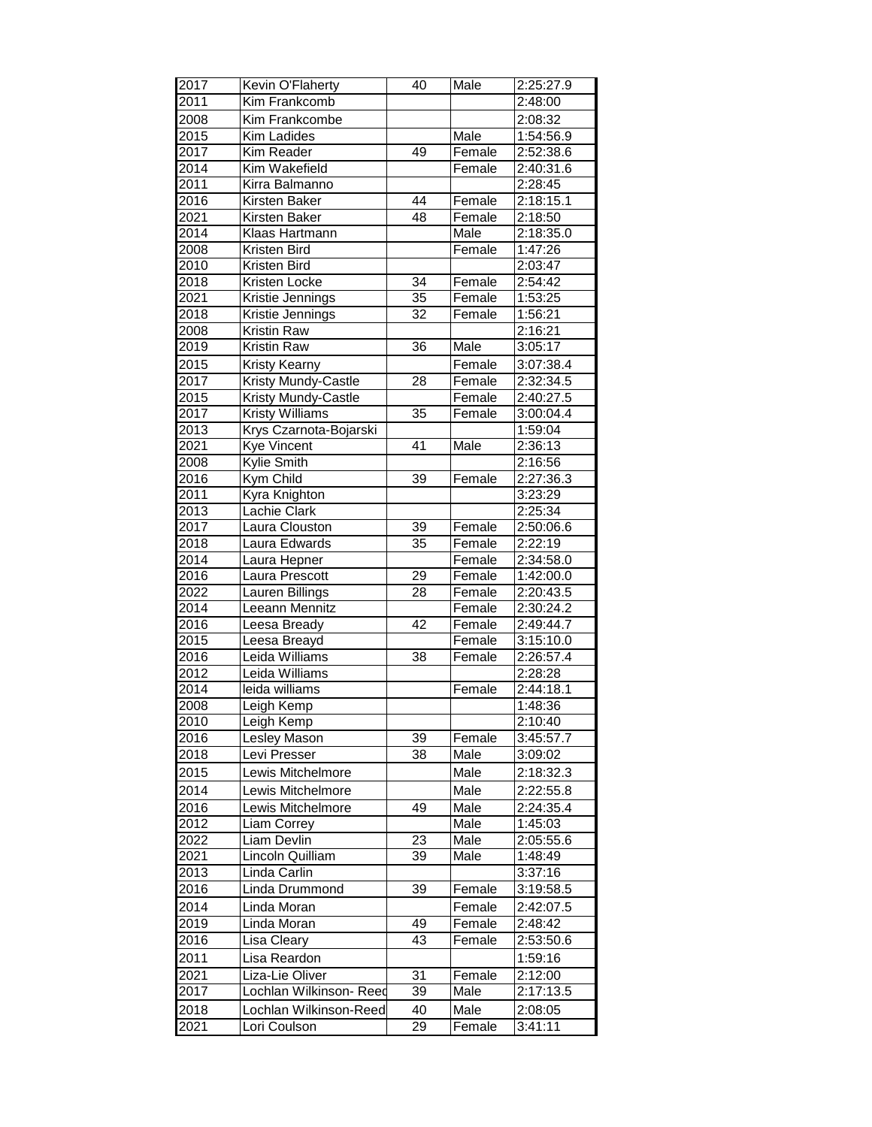| 2017         | Kevin O'Flaherty                 | 40              | Male   | 2:25:27.9            |
|--------------|----------------------------------|-----------------|--------|----------------------|
| 2011         | Kim Frankcomb                    |                 |        | 2:48:00              |
| 2008         | Kim Frankcombe                   |                 |        | 2:08:32              |
| 2015         | Kim Ladides                      |                 | Male   | 1:54:56.9            |
| 2017         | Kim Reader                       | 49              | Female | 2:52:38.6            |
| 2014         | Kim Wakefield                    |                 | Female | 2:40:31.6            |
| 2011         | Kirra Balmanno                   |                 |        | 2:28:45              |
| 2016         | Kirsten Baker                    | $\overline{44}$ | Female | 2:18:15.1            |
| 2021         | <b>Kirsten Baker</b>             | 48              | Female | 2:18:50              |
| 2014         | Klaas Hartmann                   |                 | Male   | 2:18:35.0            |
| 2008         | Kristen Bird                     |                 | Female | 1:47:26              |
| 2010         | Kristen Bird                     |                 |        | 2:03:47              |
| 2018         | Kristen Locke                    | 34              | Female | 2:54:42              |
| 2021         | Kristie Jennings                 | 35              | Female | 1:53:25              |
| 2018         | Kristie Jennings                 | 32              | Female | 1:56:21              |
| 2008         | <b>Kristin Raw</b>               |                 |        | 2:16:21              |
| 2019         | Kristin Raw                      | 36              | Male   | 3:05:17              |
| 2015         | Kristy Kearny                    |                 | Female | 3:07:38.4            |
| 2017         | <b>Kristy Mundy-Castle</b>       | 28              | Female | 2:32:34.5            |
| 2015         | <b>Kristy Mundy-Castle</b>       |                 | Female | 2:40:27.5            |
| 2017         | <b>Kristy Williams</b>           | 35              | Female | 3:00:04.4            |
| 2013         | Krys Czarnota-Bojarski           |                 |        | 1:59:04              |
| 2021         | <b>Kye Vincent</b>               | 41              | Male   | 2:36:13              |
| 2008         | Kylie Smith                      |                 |        | 2:16:56              |
| 2016         | Kym Child                        | $\overline{39}$ | Female | 2:27:36.3            |
| 2011         | Kyra Knighton                    |                 |        | 3:23:29              |
| 2013         | <b>Lachie Clark</b>              |                 |        | 2:25:34              |
| 2017         | Laura Clouston                   | 39              | Female | 2:50:06.6            |
| 2018         | Laura Edwards                    | $\overline{3}5$ | Female | 2:22:19              |
| 2014         | Laura Hepner                     |                 | Female | 2:34:58.0            |
| 2016         | Laura Prescott                   | 29              | Female | 1:42:00.0            |
| 2022         | Lauren Billings                  | $\overline{28}$ | Female | 2:20:43.5            |
| 2014         | Leeann Mennitz                   |                 | Female | 2:30:24.2            |
| 2016         | Leesa Bready                     | 42              | Female | 2:49:44.7            |
| 2015         | Leesa Breayd                     |                 | Female | 3:15:10.0            |
| 2016<br>2012 | Leida Williams<br>Leida Williams | 38              | Female | 2:26:57.4<br>2:28:28 |
|              |                                  |                 |        |                      |
| 2014<br>2008 | leida williams<br>Leigh Kemp     |                 | Female | 2:44:18.1<br>1:48:36 |
| 2010         | Leigh Kemp                       |                 |        | 2:10:40              |
| 2016         | Lesley Mason                     | 39              | Female | 3:45:57.7            |
| 2018         | Levi Presser                     | 38              | Male   | 3:09:02              |
| 2015         | Lewis Mitchelmore                |                 | Male   | 2:18:32.3            |
|              |                                  |                 |        |                      |
| 2014         | Lewis Mitchelmore                |                 | Male   | 2:22:55.8            |
| 2016         | Lewis Mitchelmore                | 49              | Male   | 2:24:35.4            |
| 2012         | Liam Correy                      |                 | Male   | 1:45:03              |
| 2022         | Liam Devlin                      | 23              | Male   | 2:05:55.6            |
| 2021         | Lincoln Quilliam                 | 39              | Male   | 1:48:49              |
| 2013         | Linda Carlin                     |                 |        | 3:37:16              |
| 2016         | Linda Drummond                   | 39              | Female | 3:19:58.5            |
| 2014         | Linda Moran                      |                 | Female | 2:42:07.5            |
| 2019         | Linda Moran                      | 49              | Female | 2:48:42              |
| 2016         | Lisa Cleary                      | 43              | Female | 2:53:50.6            |
| 2011         | Lisa Reardon                     |                 |        | 1:59:16              |
| 2021         | Liza-Lie Oliver                  | 31              | Female | 2:12:00              |
| 2017         | Lochlan Wilkinson- Reed          | 39              | Male   | 2:17:13.5            |
| 2018         | Lochlan Wilkinson-Reed           | 40              | Male   | 2:08:05              |
| 2021         | Lori Coulson                     | 29              | Female | 3:41:11              |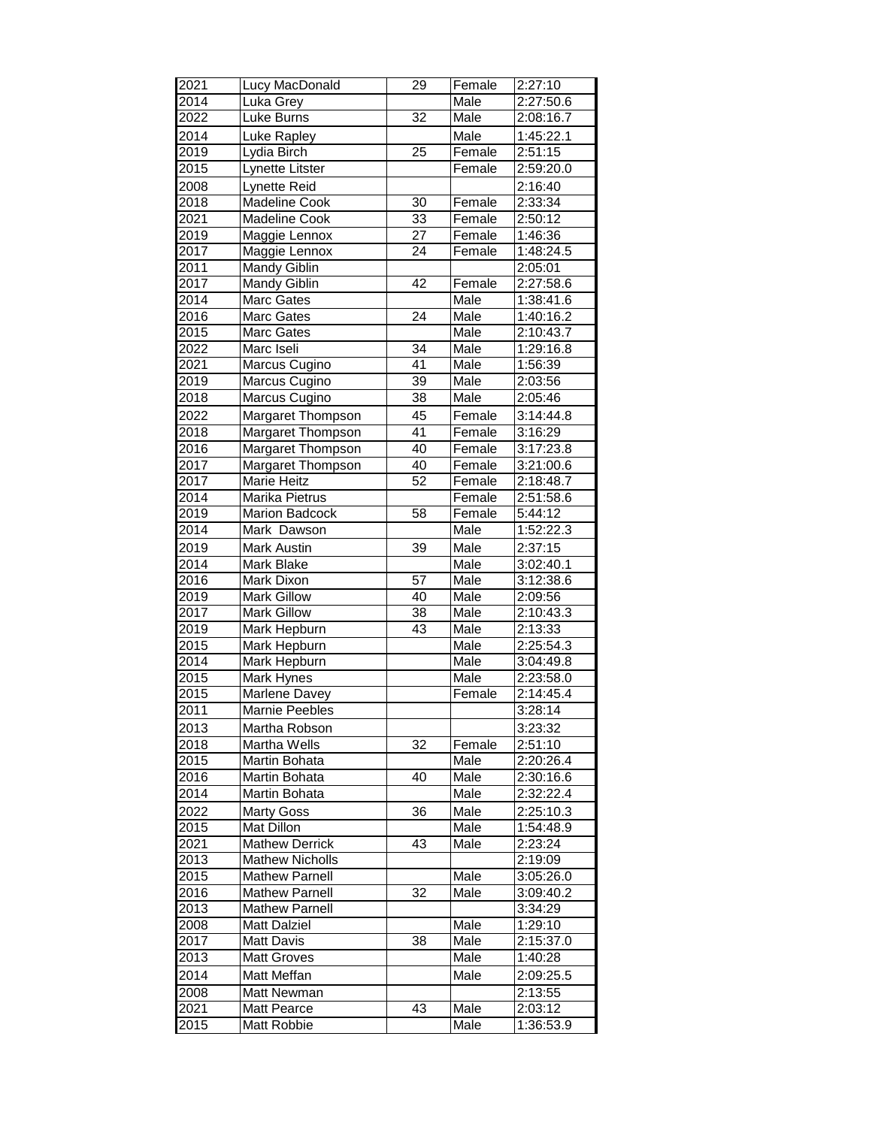| 2021              | Lucy MacDonald           | 29              | Female | 2:27:10                |
|-------------------|--------------------------|-----------------|--------|------------------------|
| 2014              | Luka Grey                |                 | Male   | 2:27:50.6              |
| $20\overline{22}$ | <b>Luke Burns</b>        | $\overline{32}$ | Male   | 2:08:16.7              |
| 2014              | Luke Rapley              |                 | Male   | 1:45:22.1              |
| 2019              | Lydia Birch              | $\overline{25}$ | Female | 2:51:15                |
| 2015              | Lynette Litster          |                 | Female | 2:59:20.0              |
| 2008              | Lynette Reid             |                 |        | 2:16:40                |
| 2018              | <b>Madeline Cook</b>     | $\overline{30}$ | Female | 2:33:34                |
| 2021              | <b>Madeline Cook</b>     | $\overline{33}$ | Female | 2:50:12                |
| $\frac{2019}{ }$  | Maggie Lennox            | $\overline{27}$ | Female | 1:46:36                |
| 2017              | Maggie Lennox            | $\overline{24}$ | Female | 1:48:24.5              |
| 2011              | Mandy Giblin             |                 |        | 2:05:01                |
| 2017              | Mandy Giblin             | 42              | Female | 2:27:58.6              |
| 2014              | Marc Gates               |                 | Male   | 1:38:41.6              |
| 2016              | Marc Gates               | $\overline{24}$ | Male   | 1:40:16.2              |
| 2015              | Marc Gates               |                 | Male   | 2:10:43.7              |
| 2022              | Marc Iseli               | $\overline{34}$ | Male   | 1:29:16.8              |
| 2021              | Marcus Cugino            | $\overline{41}$ | Male   | 1:56:39                |
| 2019              | Marcus Cugino            | $\overline{39}$ | Male   | 2:03:56                |
| 2018              | <b>Marcus Cugino</b>     | 38              | Male   | 2:05:46                |
| 2022              | Margaret Thompson        | 45              | Female | 3:14:44.8              |
| $\frac{2018}{ }$  | Margaret Thompson        | 41              | Female | 3:16:29                |
| 2016              | <b>Margaret Thompson</b> | 40              | Female | 3:17:23.8              |
| 2017              | Margaret Thompson        | 40              | Female | 3:21:00.6              |
| 2017              | Marie Heitz              | 52              | Female | 2:18:48.7              |
| 2014              | Marika Pietrus           |                 | Female | 2:51:58.6              |
| 2019              | <b>Marion Badcock</b>    | $\overline{58}$ | Female | 5:44:12                |
| 2014              | Mark Dawson              |                 | Male   | 1:52:22.3              |
| 2019              | Mark Austin              | 39              | Male   | 2:37:15                |
| 2014              | Mark Blake               |                 | Male   | $3:02:40.\overline{1}$ |
| 2016              | Mark Dixon               | $\overline{57}$ | Male   | 3:12:38.6              |
| 2019              | <b>Mark Gillow</b>       | 40              | Male   | 2:09:56                |
| 2017              | <b>Mark Gillow</b>       | $\overline{38}$ | Male   | 2:10:43.3              |
| 2019              | Mark Hepburn             | 43              | Male   | 2:13:33                |
| 2015              | Mark Hepburn             |                 | Male   | 2:25:54.3              |
| 2014              | Mark Hepburn             |                 | Male   | $3:04:\overline{49.8}$ |
| 2015              | Mark Hynes               |                 | Male   | 2:23:58.0              |
| 2015              | Marlene Davey            |                 | Female | 2:14:45.4              |
| 2011              | <b>Marnie Peebles</b>    |                 |        | 3:28:14                |
| 2013              | Martha Robson            |                 |        | 3:23:32                |
| 2018              | Martha Wells             | 32              | Female | 2:51:10                |
| 2015              | Martin Bohata            |                 | Male   | 2:20:26.4              |
| 2016              | Martin Bohata            | 40              | Male   | 2:30:16.6              |
| 2014              | Martin Bohata            |                 | Male   | 2:32:22.4              |
| 2022              | <b>Marty Goss</b>        | 36              | Male   | 2:25:10.3              |
| 2015              | Mat Dillon               |                 | Male   | 1:54:48.9              |
| 2021              | Mathew Derrick           | 43              | Male   | 2:23:24                |
| 2013              | <b>Mathew Nicholls</b>   |                 |        | 2:19:09                |
| 2015              | <b>Mathew Parnell</b>    |                 | Male   | 3:05:26.0              |
| 2016              | <b>Mathew Parnell</b>    | $\overline{32}$ | Male   | 3:09:40.2              |
| 2013              | <b>Mathew Parnell</b>    |                 |        | 3:34:29                |
| 2008              | <b>Matt Dalziel</b>      |                 | Male   | 1:29:10                |
| 2017              | <b>Matt Davis</b>        | 38              | Male   | 2:15:37.0              |
| 2013              | <b>Matt Groves</b>       |                 | Male   | 1:40:28                |
| 2014              | Matt Meffan              |                 | Male   | 2:09:25.5              |
| 2008              | Matt Newman              |                 |        | 2:13:55                |
| 2021              | <b>Matt Pearce</b>       | 43              | Male   | 2:03:12                |
| 2015              | Matt Robbie              |                 | Male   | 1:36:53.9              |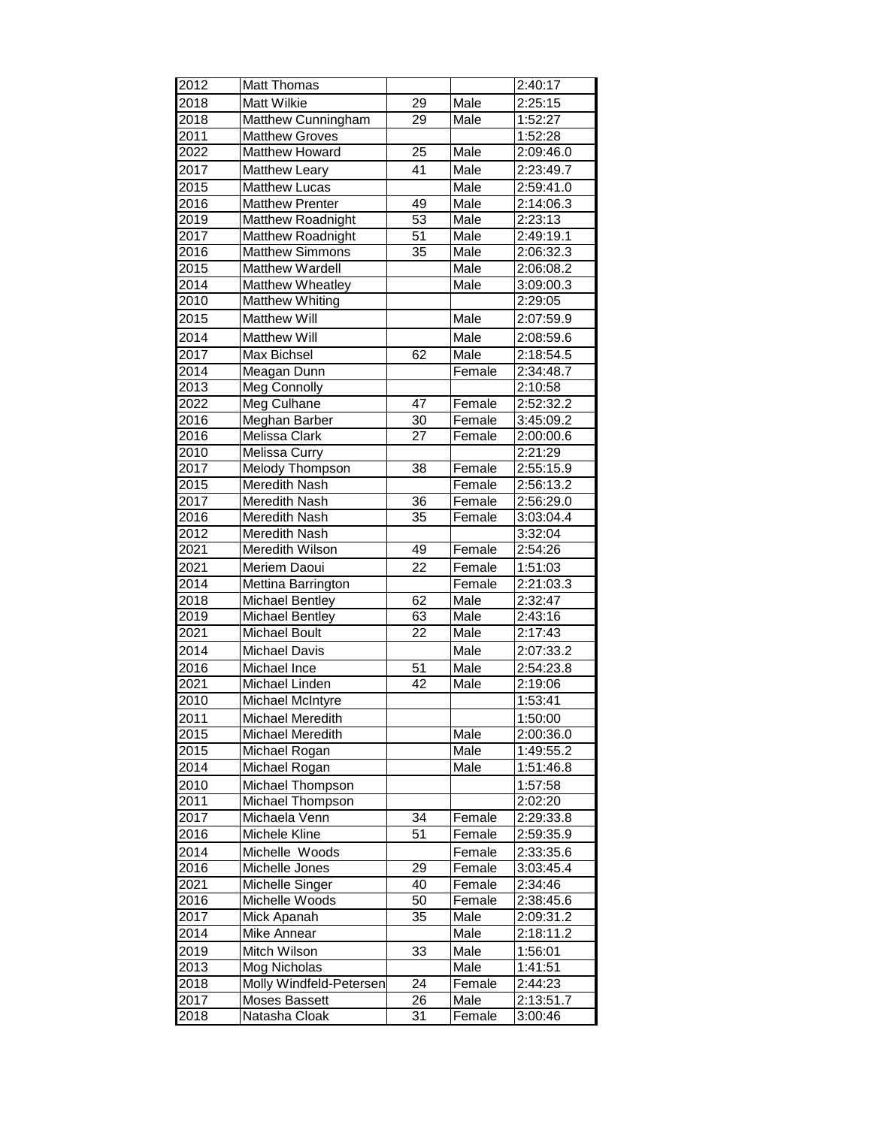| 2012 | <b>Matt Thomas</b>      |                 |        | 2:40:17   |
|------|-------------------------|-----------------|--------|-----------|
| 2018 | <b>Matt Wilkie</b>      | 29              | Male   | 2:25:15   |
| 2018 | Matthew Cunningham      | 29              | Male   | 1:52:27   |
| 2011 | <b>Matthew Groves</b>   |                 |        | 1:52:28   |
| 2022 | Matthew Howard          | $\overline{25}$ | Male   | 2:09:46.0 |
| 2017 | <b>Matthew Leary</b>    | 41              | Male   | 2:23:49.7 |
| 2015 | <b>Matthew Lucas</b>    |                 | Male   | 2:59:41.0 |
| 2016 | <b>Matthew Prenter</b>  | 49              | Male   | 2:14:06.3 |
| 2019 | Matthew Roadnight       | $\overline{53}$ | Male   | 2:23:13   |
| 2017 | Matthew Roadnight       | $\overline{51}$ | Male   | 2:49:19.1 |
| 2016 | <b>Matthew Simmons</b>  | 35              | Male   | 2:06:32.3 |
| 2015 | Matthew Wardell         |                 | Male   | 2:06:08.2 |
| 2014 | Matthew Wheatley        |                 | Male   | 3:09:00.3 |
| 2010 | <b>Matthew Whiting</b>  |                 |        | 2:29:05   |
| 2015 | <b>Matthew Will</b>     |                 | Male   | 2:07:59.9 |
| 2014 | <b>Matthew Will</b>     |                 | Male   | 2:08:59.6 |
| 2017 | Max Bichsel             | 62              | Male   | 2:18:54.5 |
| 2014 | Meagan Dunn             |                 | Female | 2:34:48.7 |
| 2013 | Meg Connolly            |                 |        | 2:10:58   |
| 2022 | Meg Culhane             | 47              | Female | 2:52:32.2 |
| 2016 | Meghan Barber           | 30              | Female | 3:45:09.2 |
| 2016 | Melissa Clark           | 27              | Female | 2:00:00.6 |
| 2010 | Melissa Curry           |                 |        | 2:21:29   |
| 2017 | Melody Thompson         | 38              | Female | 2:55:15.9 |
| 2015 | <b>Meredith Nash</b>    |                 | Female | 2:56:13.2 |
| 2017 | Meredith Nash           | 36              | Female | 2:56:29.0 |
| 2016 | Meredith Nash           | $\overline{35}$ | Female | 3:03:04.4 |
| 2012 | Meredith Nash           |                 |        | 3:32:04   |
| 2021 | Meredith Wilson         | 49              | Female | 2:54:26   |
| 2021 | Meriem Daoui            | 22              | Female | 1:51:03   |
| 2014 | Mettina Barrington      |                 | Female | 2:21:03.3 |
| 2018 | <b>Michael Bentley</b>  | 62              | Male   | 2:32:47   |
| 2019 | Michael Bentley         | 63              | Male   | 2:43:16   |
| 2021 | Michael Boult           | 22              | Male   | 2:17:43   |
| 2014 | <b>Michael Davis</b>    |                 | Male   | 2:07:33.2 |
| 2016 | Michael Ince            | 51              | Male   | 2:54:23.8 |
| 2021 | Michael Linden          | 42              | Male   | 2:19:06   |
| 2010 | Michael McIntyre        |                 |        | 1:53:41   |
| 2011 | Michael Meredith        |                 |        | 1:50:00   |
| 2015 | Michael Meredith        |                 | Male   | 2:00:36.0 |
| 2015 | Michael Rogan           |                 | Male   | 1:49:55.2 |
| 2014 | Michael Rogan           |                 | Male   | 1:51:46.8 |
| 2010 | Michael Thompson        |                 |        | 1:57:58   |
| 2011 | Michael Thompson        |                 |        | 2:02:20   |
| 2017 | Michaela Venn           | 34              | Female | 2:29:33.8 |
| 2016 | <b>Michele Kline</b>    | 51              | Female | 2:59:35.9 |
| 2014 | Michelle Woods          |                 | Female | 2:33:35.6 |
| 2016 | Michelle Jones          | 29              | Female | 3:03:45.4 |
| 2021 | Michelle Singer         | 40              | Female | 2:34:46   |
| 2016 | Michelle Woods          | 50              | Female | 2:38:45.6 |
| 2017 | Mick Apanah             | 35              | Male   | 2:09:31.2 |
| 2014 | Mike Annear             |                 | Male   | 2:18:11.2 |
| 2019 | Mitch Wilson            | 33              | Male   | 1:56:01   |
| 2013 | Mog Nicholas            |                 | Male   | 1:41:51   |
| 2018 | Molly Windfeld-Petersen | 24              | Female | 2:44:23   |
| 2017 | Moses Bassett           | 26              | Male   | 2:13:51.7 |
| 2018 | Natasha Cloak           | 31              | Female | 3:00:46   |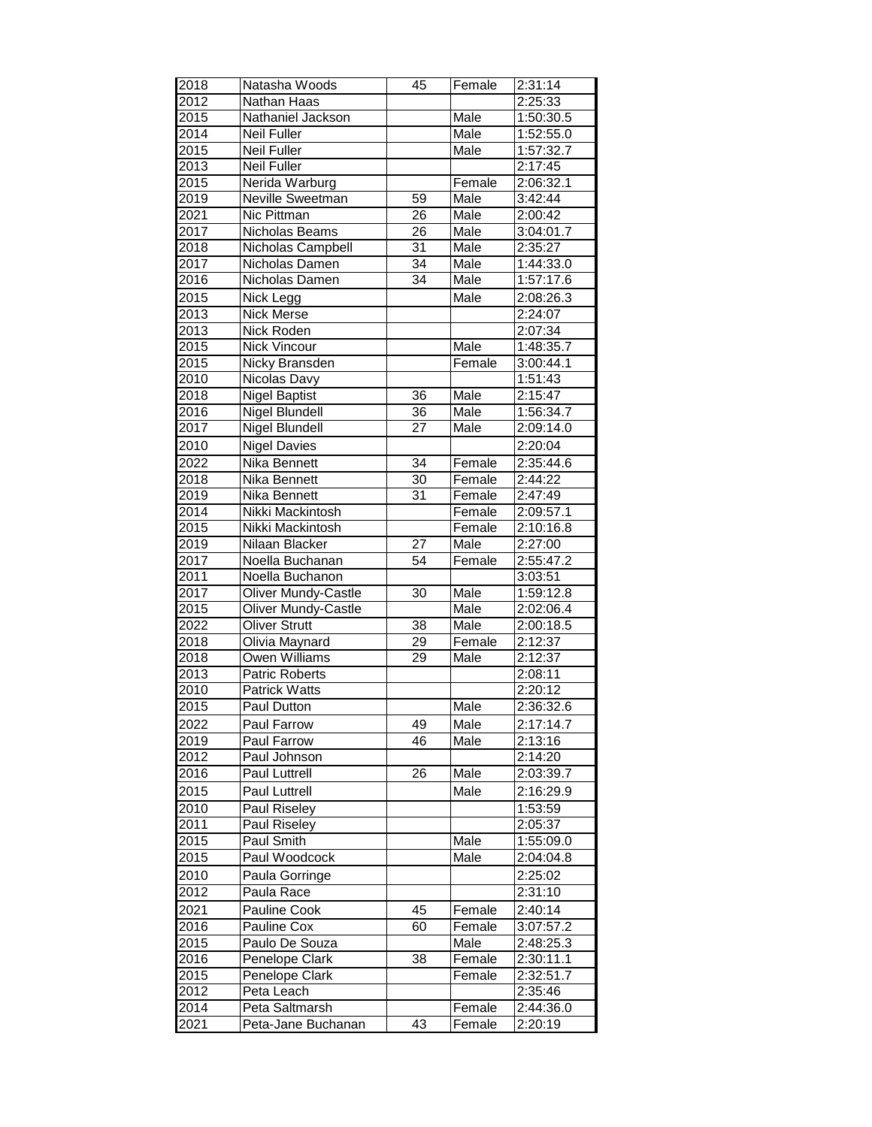| 2018              | Natasha Woods                | 45              | Female | 2:31:14   |
|-------------------|------------------------------|-----------------|--------|-----------|
| 2012              | Nathan Haas                  |                 |        | 2:25:33   |
| 2015              | Nathaniel Jackson            |                 | Male   | 1:50:30.5 |
| 2014              | <b>Neil Fuller</b>           |                 | Male   | 1:52:55.0 |
| 2015              | <b>Neil Fuller</b>           |                 | Male   | 1:57:32.7 |
| 2013              | <b>Neil Fuller</b>           |                 |        | 2:17:45   |
| 2015              | Nerida Warburg               |                 | Female | 2:06:32.1 |
| 2019              | Neville Sweetman             | 59              | Male   | 3:42:44   |
| 2021              | Nic Pittman                  | 26              | Male   | 2:00:42   |
| 2017              | Nicholas Beams               | $\overline{26}$ | Male   | 3:04:01.7 |
| 2018              | Nicholas Campbell            | $\overline{31}$ | Male   | 2:35:27   |
| 2017              | Nicholas Damen               | 34              | Male   | 1:44:33.0 |
| 2016              | Nicholas Damen               | $\overline{34}$ | Male   | 1:57:17.6 |
| 2015              | Nick Legg                    |                 | Male   | 2:08:26.3 |
| $20\overline{13}$ | Nick Merse                   |                 |        | 2:24:07   |
| 2013              | Nick Roden                   |                 |        | 2:07:34   |
| 2015              | <b>Nick Vincour</b>          |                 | Male   | 1:48:35.7 |
| 2015              | Nicky Bransden               |                 | Female | 3:00:44.1 |
| 2010              | <b>Nicolas Davy</b>          |                 |        | 1:51:43   |
| 2018              | <b>Nigel Baptist</b>         | 36              | Male   | 2:15:47   |
| 2016              | <b>Nigel Blundell</b>        | $\overline{36}$ | Male   | 1:56:34.7 |
| 2017              | Nigel Blundell               | 27              | Male   | 2:09:14.0 |
| 2010              | <b>Nigel Davies</b>          |                 |        | 2:20:04   |
| 2022              | Nika Bennett                 | 34              | Female | 2:35:44.6 |
| 2018              | Nika Bennett                 | 30              | Female | 2:44:22   |
| 2019              | Nika Bennett                 | $\overline{31}$ | Female | 2:47:49   |
| 2014              | Nikki Mackintosh             |                 | Female | 2:09:57.1 |
| 2015              | Nikki Mackintosh             |                 | Female | 2:10:16.8 |
| 2019              | Nilaan Blacker               | 27              | Male   | 2:27:00   |
| 2017              | Noella Buchanan              | 54              | Female | 2:55:47.2 |
| 2011              | Noella Buchanon              |                 |        | 3:03:51   |
| 2017              | <b>Oliver Mundy-Castle</b>   | 30              | Male   | 1:59:12.8 |
| $\frac{2015}{ }$  | <b>Oliver Mundy-Castle</b>   |                 | Male   | 2:02:06.4 |
| 2022              | <b>Oliver Strutt</b>         | 38              | Male   | 2:00:18.5 |
| 2018              | Olivia Maynard               | 29              | Female | 2:12:37   |
| 2018              | Owen Williams                | $\overline{29}$ | Male   | 2:12:37   |
| 2013              | <b>Patric Roberts</b>        |                 |        | 2:08:11   |
| 2010              | <b>Patrick Watts</b>         |                 |        | 2:20:12   |
| 2015              | Paul Dutton                  |                 | Male   | 2:36:32.6 |
| 2022              | Paul Farrow                  | 49              | Male   | 2:17:14.7 |
| 2019              | Paul Farrow                  | 46              | Male   | 2:13:16   |
| 2012              | Paul Johnson                 |                 |        | 2:14:20   |
| 2016              | Paul Luttrell                | 26              | Male   | 2:03:39.7 |
| 2015              | Paul Luttrell                |                 | Male   | 2:16:29.9 |
|                   |                              |                 |        |           |
| 2010              | Paul Riseley<br>Paul Riseley |                 |        | 1:53:59   |
| 2011              |                              |                 |        | 2:05:37   |
| 2015              | Paul Smith                   |                 | Male   | 1:55:09.0 |
| 2015              | Paul Woodcock                |                 | Male   | 2:04:04.8 |
| 2010              | Paula Gorringe               |                 |        | 2:25:02   |
| 2012              | Paula Race                   |                 |        | 2:31:10   |
| 2021              | Pauline Cook                 | 45              | Female | 2:40:14   |
| 2016              | Pauline Cox                  | 60              | Female | 3:07:57.2 |
| 2015              | Paulo De Souza               |                 | Male   | 2:48:25.3 |
| 2016              | Penelope Clark               | 38              | Female | 2:30:11.1 |
| 2015              | Penelope Clark               |                 | Female | 2:32:51.7 |
| 2012              | Peta Leach                   |                 |        | 2:35:46   |
| $201\overline{4}$ | Peta Saltmarsh               |                 | Female | 2:44:36.0 |
| 2021              | Peta-Jane Buchanan           | 43              | Female | 2:20:19   |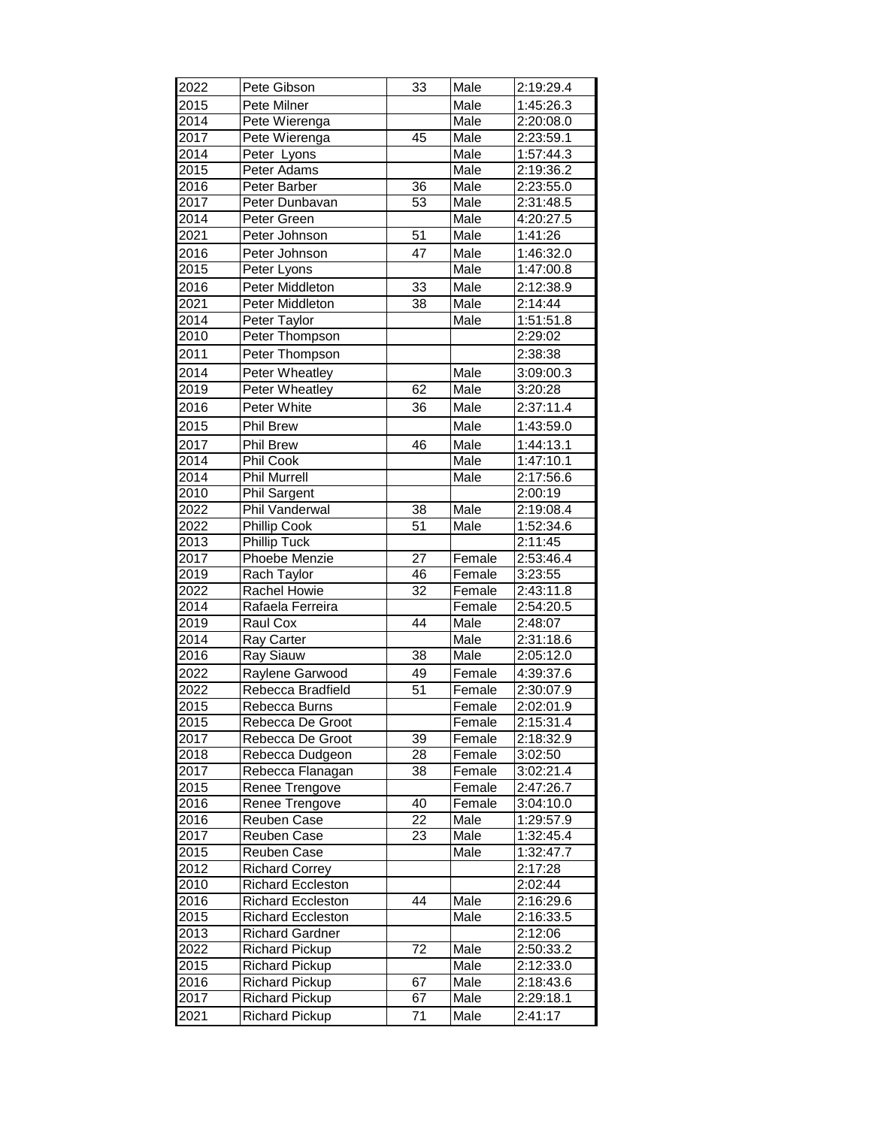| 2022         | Pete Gibson                                    | 33              | Male         | 2:19:29.4              |
|--------------|------------------------------------------------|-----------------|--------------|------------------------|
| 2015         | Pete Milner                                    |                 | Male         | 1:45:26.3              |
| 2014         | Pete Wierenga                                  |                 | Male         | 2:20:08.0              |
| 2017         | Pete Wierenga                                  | 45              | Male         | 2:23:59.1              |
| 2014         | Peter Lyons                                    |                 | Male         | 1:57:44.3              |
| 2015         | Peter Adams                                    |                 | Male         | 2:19:36.2              |
| 2016         | Peter Barber                                   | $\overline{36}$ | Male         | 2:23:55.0              |
| 2017         | Peter Dunbavan                                 | 53              | Male         | 2:31:48.5              |
| 2014         | Peter Green                                    |                 | Male         | 4:20:27.5              |
| 2021         | Peter Johnson                                  | 51              | Male         | 1:41:26                |
| 2016         | Peter Johnson                                  | 47              | Male         | 1:46:32.0              |
| 2015         | Peter Lyons                                    |                 | Male         | 1:47:00.8              |
| 2016         | Peter Middleton                                | 33              | Male         | 2:12:38.9              |
| 2021         | Peter Middleton                                | $\overline{38}$ | Male         | 2:14:44                |
| 2014         | Peter Taylor                                   |                 | Male         | 1:51:51.8              |
| 2010         | Peter Thompson                                 |                 |              | 2:29:02                |
| 2011         | Peter Thompson                                 |                 |              | 2:38:38                |
| 2014         |                                                |                 |              |                        |
|              | Peter Wheatley                                 |                 | Male         | 3:09:00.3              |
| 2019         | Peter Wheatley                                 | 62              | Male         | 3:20:28                |
| 2016         | Peter White                                    | 36              | Male         | 2:37:11.4              |
| 2015         | <b>Phil Brew</b>                               |                 | Male         | 1:43:59.0              |
| 2017         | <b>Phil Brew</b>                               | 46              | Male         | 1:44:13.1              |
| 2014         | Phil Cook                                      |                 | Male         | 1:47:10.1              |
| 2014         | Phil Murrell                                   |                 | Male         | 2:17:56.6              |
| 2010         | <b>Phil Sargent</b>                            |                 |              | 2:00:19                |
| 2022         | Phil Vanderwal                                 | 38              | Male         | 2:19:08.4              |
| 2022         | <b>Phillip Cook</b>                            | $\overline{51}$ | Male         | 1:52:34.6              |
| 2013         | <b>Phillip Tuck</b>                            |                 |              | 2:11:45                |
| 2017         | Phoebe Menzie                                  | $\overline{27}$ | Female       | 2:53:46.4              |
| 2019         | Rach Taylor                                    | 46              | Female       | 3:23:55                |
| 2022         | Rachel Howie                                   | 32              | Female       | 2:43:11.8              |
| 2014         | Rafaela Ferreira                               |                 | Female       | 2:54:20.5              |
| 2019         | Raul Cox                                       | 44              | Male         | 2:48:07                |
| 2014         | Ray Carter                                     |                 | Male         | 2:31:18.6              |
| 2016         | Ray Siauw                                      | $\overline{38}$ | Male         | 2:05:12.0              |
| 2022         | Raylene Garwood                                | 49              | Female       | 4:39:37.6              |
| 2022         | Rebecca Bradfield                              | $\overline{51}$ | Female       | 2:30:07.9              |
| 2015         | Rebecca Burns                                  |                 | Female       | 2:02:01.9              |
| 2015         | Rebecca De Groot                               |                 | Female       | 2:15:31.4              |
| 2017         | Rebecca De Groot                               | 39              | Female       | 2:18:32.9              |
| 2018         | Rebecca Dudgeon                                | $\overline{28}$ | Female       | 3:02:50                |
| 2017         | Rebecca Flanagan                               | 38              | Female       | 3:02:21.4              |
| 2015         | Renee Trengove                                 |                 | Female       | 2:47:26.7              |
| 2016         | Renee Trengove                                 | 40              | Female       | 3:04:10.0              |
| 2016         | Reuben Case                                    | 22              | Male         | 1:29:57.9              |
| 2017         | Reuben Case                                    | 23              | Male         | 1:32:45.4              |
| 2015         | Reuben Case                                    |                 | Male         | 1:32:47.7              |
| 2012         | <b>Richard Correy</b>                          |                 |              | 2:17:28                |
| 2010         | <b>Richard Eccleston</b>                       | 44              |              | 2:02:44                |
| 2016<br>2015 | <b>Richard Eccleston</b>                       |                 | Male<br>Male | 2:16:29.6<br>2:16:33.5 |
|              | <b>Richard Eccleston</b>                       |                 |              |                        |
| 2013<br>2022 | <b>Richard Gardner</b>                         | 72              | Male         | 2:12:06<br>2:50:33.2   |
|              | <b>Richard Pickup</b>                          |                 | Male         |                        |
| 2015<br>2016 | <b>Richard Pickup</b>                          | 67              | Male         | 2:12:33.0              |
| 2017         | <b>Richard Pickup</b><br><b>Richard Pickup</b> | 67              | Male         | 2:18:43.6<br>2:29:18.1 |
|              |                                                |                 |              |                        |
| 2021         | <b>Richard Pickup</b>                          | 71              | Male         | 2:41:17                |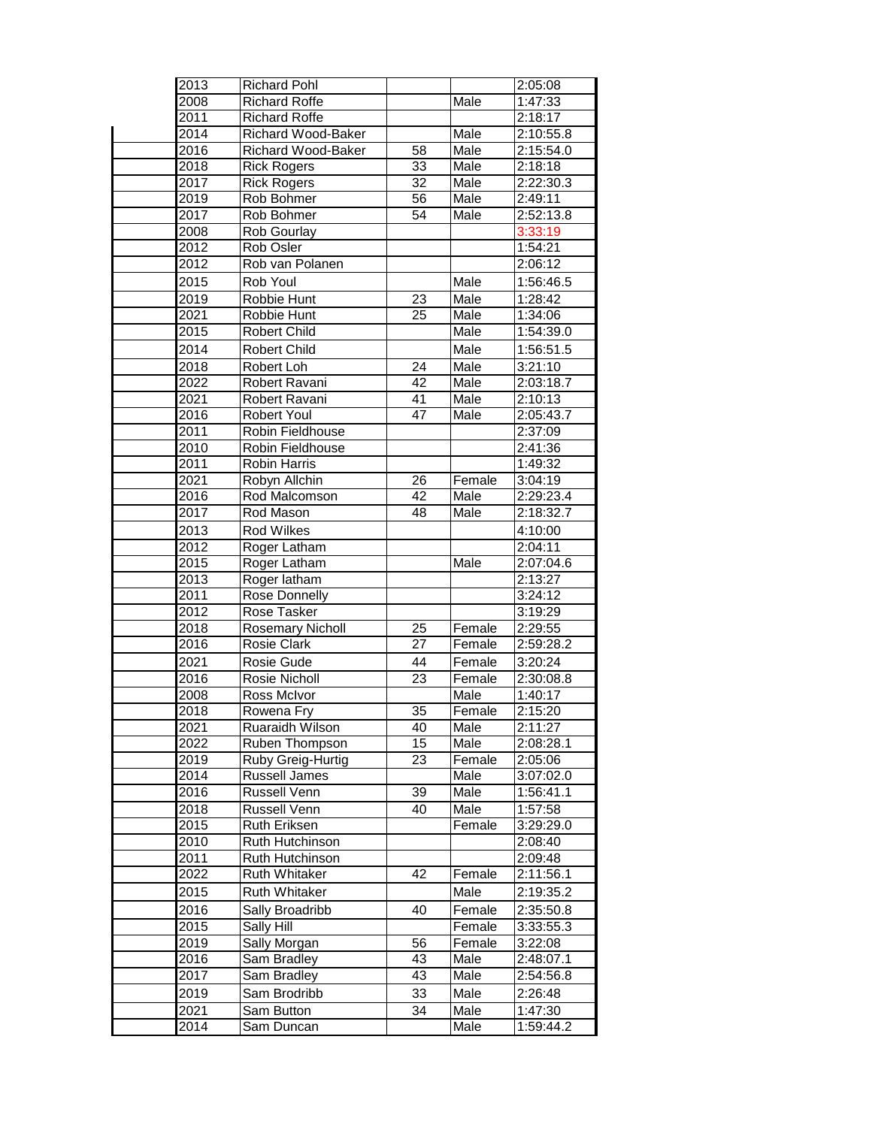| 2013 | <b>Richard Pohl</b>       |                 |        | 2:05:08   |
|------|---------------------------|-----------------|--------|-----------|
| 2008 | <b>Richard Roffe</b>      |                 | Male   | 1:47:33   |
| 2011 | <b>Richard Roffe</b>      |                 |        | 2:18:17   |
| 2014 | <b>Richard Wood-Baker</b> |                 | Male   | 2:10:55.8 |
| 2016 | <b>Richard Wood-Baker</b> | $\overline{58}$ | Male   | 2:15:54.0 |
| 2018 | <b>Rick Rogers</b>        | 33              | Male   | 2:18:18   |
| 2017 | <b>Rick Rogers</b>        | $\overline{32}$ | Male   | 2:22:30.3 |
| 2019 | <b>Rob Bohmer</b>         | 56              | Male   | 2:49:11   |
| 2017 | Rob Bohmer                | 54              | Male   | 2:52:13.8 |
| 2008 | Rob Gourlay               |                 |        | 3:33:19   |
| 2012 | Rob Osler                 |                 |        | 1:54:21   |
| 2012 | Rob van Polanen           |                 |        | 2:06:12   |
| 2015 | Rob Youl                  |                 | Male   | 1:56:46.5 |
| 2019 | Robbie Hunt               | 23              | Male   | 1:28:42   |
| 2021 | Robbie Hunt               | 25              | Male   | 1:34:06   |
| 2015 | <b>Robert Child</b>       |                 | Male   | 1:54:39.0 |
| 2014 | <b>Robert Child</b>       |                 | Male   | 1:56:51.5 |
| 2018 | Robert Loh                | 24              | Male   | 3:21:10   |
| 2022 | Robert Ravani             | 42              | Male   | 2:03:18.7 |
| 2021 | Robert Ravani             | 41              | Male   | 2:10:13   |
| 2016 | <b>Robert Youl</b>        | 47              | Male   | 2:05:43.7 |
| 2011 | Robin Fieldhouse          |                 |        | 2:37:09   |
| 2010 | Robin Fieldhouse          |                 |        | 2:41:36   |
| 2011 | <b>Robin Harris</b>       |                 |        | 1:49:32   |
| 2021 | Robyn Allchin             | 26              | Female | 3:04:19   |
| 2016 | Rod Malcomson             | 42              | Male   | 2:29:23.4 |
| 2017 | Rod Mason                 | 48              | Male   | 2:18:32.7 |
| 2013 | <b>Rod Wilkes</b>         |                 |        | 4:10:00   |
| 2012 | Roger Latham              |                 |        | 2:04:11   |
| 2015 | Roger Latham              |                 | Male   | 2:07:04.6 |
| 2013 | Roger latham              |                 |        | 2:13:27   |
| 2011 | Rose Donnelly             |                 |        | 3:24:12   |
| 2012 | Rose Tasker               |                 |        | 3:19:29   |
| 2018 | <b>Rosemary Nicholl</b>   | 25              | Female | 2:29:55   |
| 2016 | Rosie Clark               | $\overline{27}$ | Female | 2:59:28.2 |
| 2021 | Rosie Gude                | 44              | Female | 3:20:24   |
| 2016 | Rosie Nicholl             | 23              | Female | 2:30:08.8 |
| 2008 | Ross McIvor               |                 | Male   | 1:40:17   |
| 2018 | Rowena Fry                | 35              | Female | 2:15:20   |
| 2021 | Ruaraidh Wilson           | 40              | Male   | 2:11:27   |
| 2022 | Ruben Thompson            | 15              | Male   | 2:08:28.1 |
| 2019 | Ruby Greig-Hurtig         | 23              | Female | 2:05:06   |
| 2014 | <b>Russell James</b>      |                 | Male   | 3:07:02.0 |
| 2016 | Russell Venn              | 39              | Male   | 1:56:41.1 |
| 2018 | Russell Venn              | 40              | Male   | 1:57:58   |
| 2015 | Ruth Eriksen              |                 | Female | 3:29:29.0 |
| 2010 | Ruth Hutchinson           |                 |        | 2:08:40   |
| 2011 | Ruth Hutchinson           |                 |        | 2:09:48   |
| 2022 | Ruth Whitaker             | 42              | Female | 2:11:56.1 |
| 2015 | Ruth Whitaker             |                 | Male   | 2:19:35.2 |
| 2016 | Sally Broadribb           | 40              | Female | 2:35:50.8 |
| 2015 | Sally Hill                |                 | Female | 3:33:55.3 |
| 2019 | Sally Morgan              | 56              | Female | 3:22:08   |
| 2016 | Sam Bradley               | 43              | Male   | 2:48:07.1 |
| 2017 | Sam Bradley               | 43              | Male   | 2:54:56.8 |
| 2019 | Sam Brodribb              | 33              | Male   | 2:26:48   |
| 2021 | Sam Button                | $\overline{34}$ | Male   | 1:47:30   |
| 2014 | Sam Duncan                |                 | Male   | 1:59:44.2 |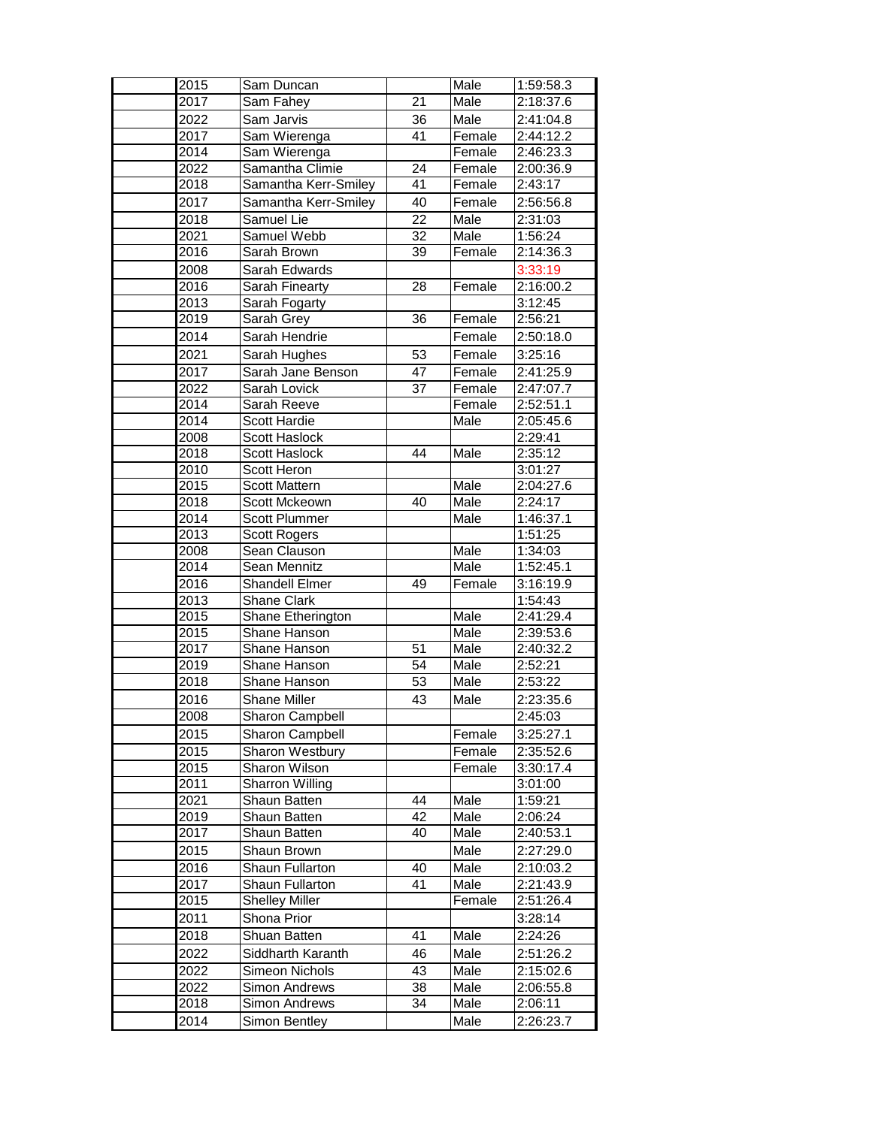| 2015 | Sam Duncan             |                 | Male   | 1:59:58.3 |
|------|------------------------|-----------------|--------|-----------|
| 2017 | Sam Fahey              | 21              | Male   | 2:18:37.6 |
| 2022 | Sam Jarvis             | 36              | Male   | 2:41:04.8 |
| 2017 | Sam Wierenga           | 41              | Female | 2:44:12.2 |
| 2014 | Sam Wierenga           |                 | Female | 2:46:23.3 |
| 2022 | Samantha Climie        | 24              | Female | 2:00:36.9 |
| 2018 | Samantha Kerr-Smiley   | 41              | Female | 2:43:17   |
| 2017 | Samantha Kerr-Smiley   | 40              | Female | 2:56:56.8 |
| 2018 | Samuel Lie             | $\overline{22}$ | Male   | 2:31:03   |
| 2021 | Samuel Webb            | $\overline{32}$ | Male   | 1:56:24   |
| 2016 | Sarah Brown            | $\overline{39}$ | Female | 2:14:36.3 |
| 2008 | Sarah Edwards          |                 |        | 3:33:19   |
| 2016 | Sarah Finearty         | 28              | Female | 2:16:00.2 |
| 2013 | Sarah Fogarty          |                 |        | 3:12:45   |
| 2019 | Sarah Grey             | 36              | Female | 2:56:21   |
| 2014 | Sarah Hendrie          |                 | Female | 2:50:18.0 |
| 2021 | Sarah Hughes           | 53              | Female | 3:25:16   |
| 2017 | Sarah Jane Benson      | 47              | Female | 2:41:25.9 |
| 2022 | Sarah Lovick           | 37              | Female | 2:47:07.7 |
| 2014 | Sarah Reeve            |                 | Female | 2:52:51.1 |
| 2014 | Scott Hardie           |                 | Male   | 2:05:45.6 |
| 2008 | <b>Scott Haslock</b>   |                 |        | 2:29:41   |
| 2018 | <b>Scott Haslock</b>   | 44              | Male   | 2:35:12   |
| 2010 | Scott Heron            |                 |        | 3:01:27   |
| 2015 | <b>Scott Mattern</b>   |                 | Male   | 2:04:27.6 |
| 2018 | Scott Mckeown          | 40              | Male   | 2:24:17   |
| 2014 | <b>Scott Plummer</b>   |                 | Male   | 1:46:37.1 |
| 2013 | <b>Scott Rogers</b>    |                 |        | 1:51:25   |
| 2008 | Sean Clauson           |                 | Male   | 1:34:03   |
| 2014 | Sean Mennitz           |                 | Male   | 1:52:45.1 |
| 2016 | <b>Shandell Elmer</b>  | 49              | Female | 3:16:19.9 |
| 2013 | Shane Clark            |                 |        | 1:54:43   |
| 2015 | Shane Etherington      |                 | Male   | 2:41:29.4 |
| 2015 | Shane Hanson           |                 | Male   | 2:39:53.6 |
| 2017 | Shane Hanson           | 51              | Male   | 2:40:32.2 |
| 2019 | Shane Hanson           | 54              | Male   | 2:52:21   |
| 2018 | Shane Hanson           | 53              | Male   | 2:53:22   |
| 2016 | Shane Miller           | 43              | Male   | 2:23:35.6 |
| 2008 | <b>Sharon Campbell</b> |                 |        | 2:45:03   |
| 2015 | <b>Sharon Campbell</b> |                 | Female | 3:25:27.1 |
| 2015 | Sharon Westbury        |                 | Female | 2:35:52.6 |
| 2015 | Sharon Wilson          |                 | Female | 3:30:17.4 |
| 2011 | Sharron Willing        |                 |        | 3:01:00   |
| 2021 | Shaun Batten           | 44              | Male   | 1:59:21   |
| 2019 | Shaun Batten           | 42              | Male   | 2:06:24   |
| 2017 | Shaun Batten           | 40              | Male   | 2:40:53.1 |
| 2015 | Shaun Brown            |                 | Male   | 2:27:29.0 |
| 2016 | <b>Shaun Fullarton</b> | 40              | Male   | 2:10:03.2 |
| 2017 | Shaun Fullarton        | 41              | Male   | 2:21:43.9 |
| 2015 | <b>Shelley Miller</b>  |                 | Female | 2:51:26.4 |
| 2011 | Shona Prior            |                 |        | 3:28:14   |
| 2018 | Shuan Batten           | 41              | Male   | 2:24:26   |
| 2022 | Siddharth Karanth      | 46              | Male   | 2:51:26.2 |
| 2022 | Simeon Nichols         | 43              | Male   | 2:15:02.6 |
| 2022 | Simon Andrews          | 38              | Male   | 2:06:55.8 |
| 2018 | Simon Andrews          | 34              | Male   | 2:06:11   |
| 2014 | Simon Bentley          |                 | Male   | 2:26:23.7 |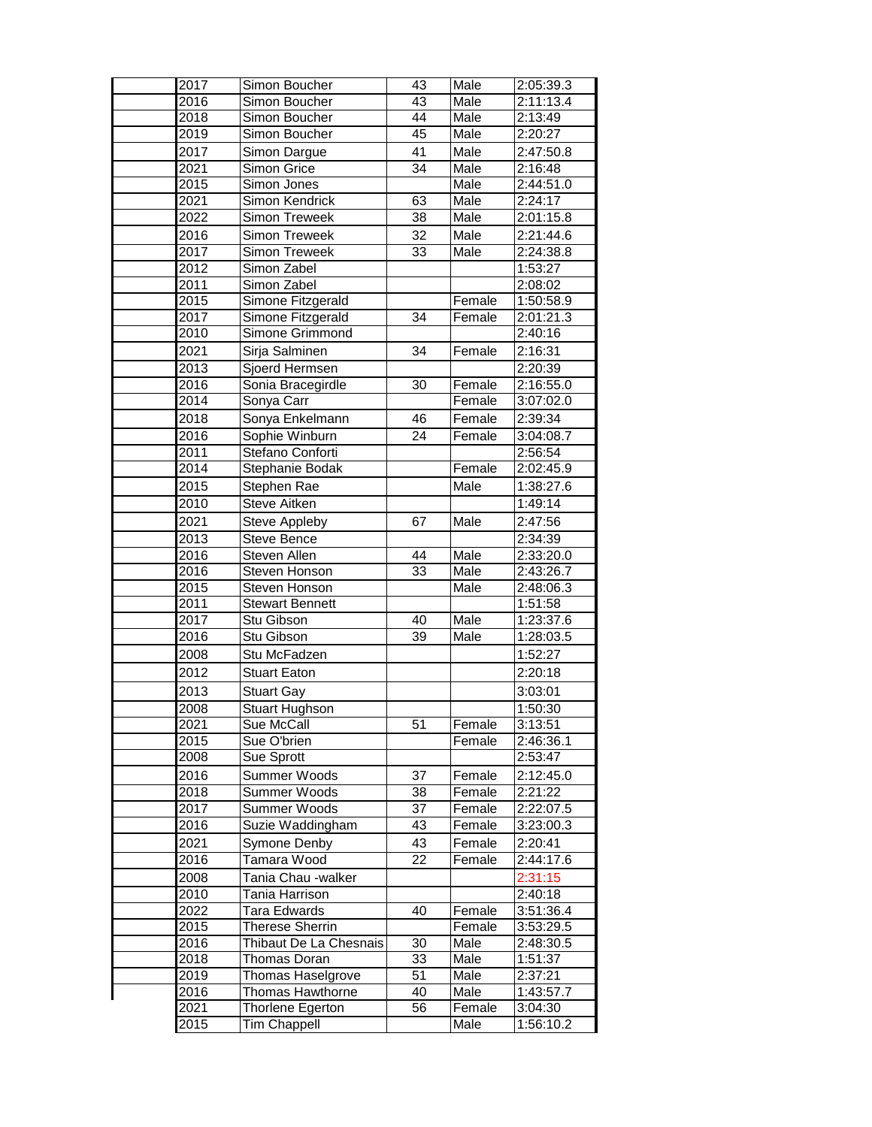| 2017         | Simon Boucher                       | 43              | Male             | 2:05:39.3              |
|--------------|-------------------------------------|-----------------|------------------|------------------------|
| 2016         | Simon Boucher                       | 43              | Male             | 2:11:13.4              |
| 2018         | Simon Boucher                       | 44              | Male             | 2:13:49                |
| 2019         | Simon Boucher                       | 45              | Male             | 2:20:27                |
| 2017         | Simon Dargue                        | 41              | Male             | 2:47:50.8              |
| 2021         | Simon Grice                         | $\overline{34}$ | Male             | 2:16:48                |
| 2015         | Simon Jones                         |                 | Male             | 2:44:51.0              |
| 2021         | Simon Kendrick                      | 63              | Male             | 2:24:17                |
| 2022         | Simon Treweek                       | $\overline{38}$ | Male             | 2:01:15.8              |
| 2016         | Simon Treweek                       | 32              | Male             | 2:21:44.6              |
| 2017         | <b>Simon Treweek</b>                | 33              | Male             | 2:24:38.8              |
| 2012         | Simon Zabel                         |                 |                  | 1:53:27                |
| 2011         | Simon Zabel                         |                 |                  | 2:08:02                |
| 2015         | Simone Fitzgerald                   |                 | Female           | 1:50:58.9              |
| 2017         | Simone Fitzgerald                   | 34              | Female           | 2:01:21.3              |
| 2010         | Simone Grimmond                     |                 |                  | 2:40:16                |
| 2021         | Sirja Salminen                      | 34              | Female           | 2:16:31                |
| 2013         | Sioerd Hermsen                      |                 |                  | 2:20:39                |
| 2016         | Sonia Bracegirdle                   | 30              | Female           | 2:16:55.0              |
| 2014         | Sonya Carr                          |                 | Female           | 3:07:02.0              |
| 2018         | Sonya Enkelmann                     | 46              | Female           | 2:39:34                |
| 2016         | Sophie Winburn                      | 24              | Female           | 3:04:08.7              |
| 2011         | Stefano Conforti                    |                 |                  | 2:56:54                |
| 2014         | Stephanie Bodak                     |                 | Female           | 2:02:45.9              |
| 2015         | Stephen Rae                         |                 | Male             | 1:38:27.6              |
| 2010         | Steve Aitken                        |                 |                  | 1:49:14                |
| 2021         | Steve Appleby                       | 67              | Male             | 2:47:56                |
| 2013         | Steve Bence                         |                 |                  | 2:34:39                |
| 2016         | Steven Allen                        | 44              | Male             | 2:33:20.0              |
| 2016         | Steven Honson                       | 33              | Male             | 2:43:26.7              |
| 2015         | Steven Honson                       |                 | Male             | 2:48:06.3              |
| 2011         | <b>Stewart Bennett</b>              |                 |                  | 1:51:58                |
| 2017<br>2016 | Stu Gibson                          | 40<br>39        | Male<br>Male     | 1:23:37.6              |
|              | Stu Gibson                          |                 |                  | 1:28:03.5              |
| 2008         | Stu McFadzen                        |                 |                  | 1:52:27                |
| 2012         | <b>Stuart Eaton</b>                 |                 |                  | 2:20:18                |
| 2013         | <b>Stuart Gay</b>                   |                 |                  | 3:03:01                |
| 2008         | Stuart Hughson                      |                 |                  | 1:50:30                |
| 2021         | Sue McCall                          | 51              | Female           | 3:13:51                |
| 2015         | Sue O'brien                         |                 | Female           | 2:46:36.1              |
| 2008         | Sue Sprott                          |                 |                  | 2:53:47                |
| 2016         | Summer Woods                        | 37              | Female           | 2:12:45.0              |
| 2018<br>2017 | Summer Woods<br><b>Summer Woods</b> | 38<br>37        | Female           | 2:21:22                |
| 2016         | Suzie Waddingham                    | 43              | Female<br>Female | 2:22:07.5<br>3:23:00.3 |
| 2021         |                                     | 43              | Female           | 2:20:41                |
| 2016         | Symone Denby<br>Tamara Wood         | 22              |                  | 2:44:17.6              |
|              |                                     |                 | Female           |                        |
| 2008         | Tania Chau -walker                  |                 |                  | 2:31:15                |
| 2010<br>2022 | Tania Harrison<br>Tara Edwards      | 40              | Female           | 2:40:18<br>3:51:36.4   |
| 2015         | <b>Therese Sherrin</b>              |                 | Female           | 3:53:29.5              |
| 2016         | Thibaut De La Chesnais              | 30              | Male             | 2:48:30.5              |
| 2018         | Thomas Doran                        | 33              | Male             | 1:51:37                |
| 2019         | Thomas Haselgrove                   | 51              | Male             | 2:37:21                |
| 2016         | Thomas Hawthorne                    | 40              | Male             | 1:43:57.7              |
| 2021         | Thorlene Egerton                    | 56              | Female           | 3:04:30                |
| 2015         | <b>Tim Chappell</b>                 |                 | Male             | 1:56:10.2              |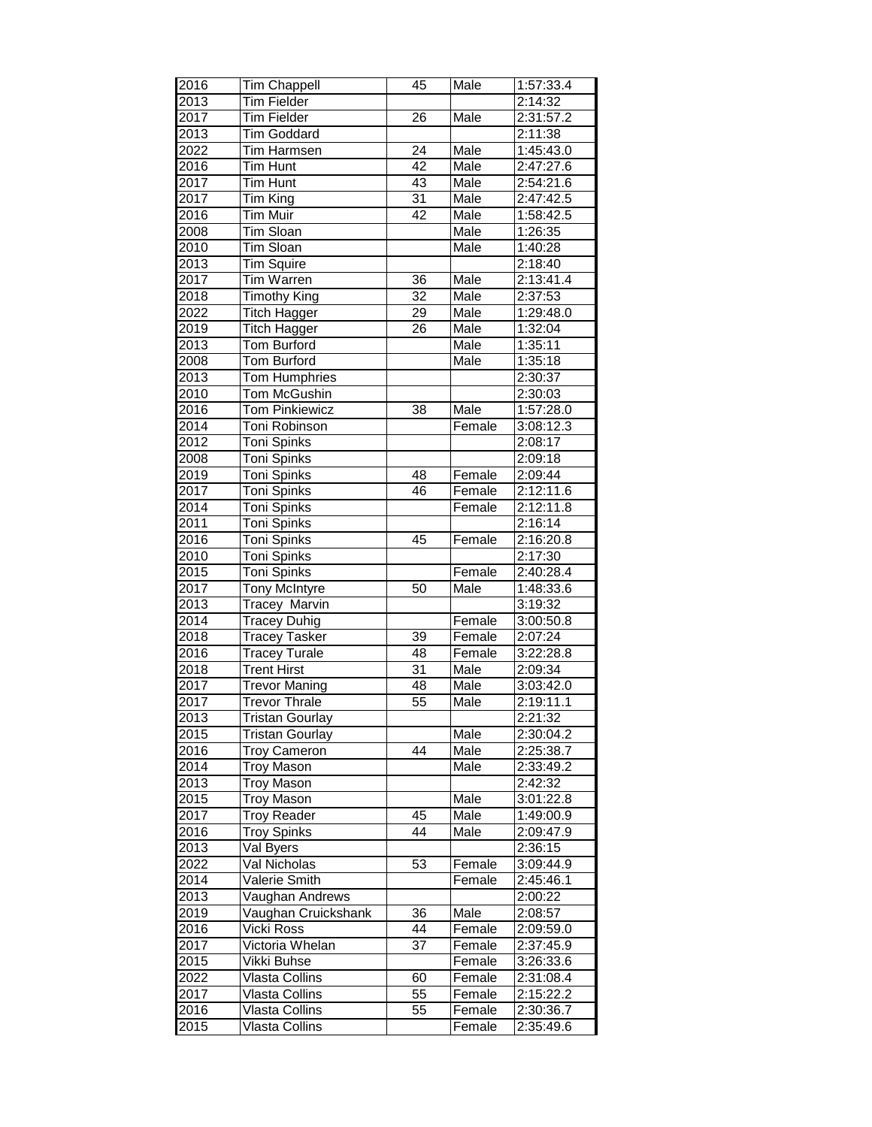| 2016 | <b>Tim Chappell</b>    | 45              | Male   | 1:57:33.4 |
|------|------------------------|-----------------|--------|-----------|
| 2013 | <b>Tim Fielder</b>     |                 |        | 2:14:32   |
| 2017 | <b>Tim Fielder</b>     | 26              | Male   | 2:31:57.2 |
| 2013 | Tim Goddard            |                 |        | 2:11:38   |
| 2022 | <b>Tim Harmsen</b>     | $\overline{24}$ | Male   | 1:45:43.0 |
| 2016 | <b>Tim Hunt</b>        | $\overline{42}$ | Male   | 2:47:27.6 |
| 2017 | <b>Tim Hunt</b>        | $\overline{43}$ | Male   | 2:54:21.6 |
| 2017 | Tim King               | $\overline{31}$ | Male   | 2:47:42.5 |
| 2016 | <b>Tim Muir</b>        | 42              | Male   | 1:58:42.5 |
| 2008 | <b>Tim Sloan</b>       |                 | Male   | 1:26:35   |
| 2010 | Tim Sloan              |                 | Male   | 1:40:28   |
| 2013 | Tim Squire             |                 |        | 2:18:40   |
| 2017 | Tim Warren             | $\overline{36}$ | Male   | 2:13:41.4 |
| 2018 | <b>Timothy King</b>    | $\overline{32}$ | Male   | 2:37:53   |
| 2022 | <b>Titch Hagger</b>    | 29              | Male   | 1:29:48.0 |
| 2019 | <b>Titch Hagger</b>    | $\overline{26}$ | Male   | 1:32:04   |
| 2013 | Tom Burford            |                 | Male   | 1:35:11   |
| 2008 | <b>Tom Burford</b>     |                 | Male   | 1:35:18   |
| 2013 | <b>Tom Humphries</b>   |                 |        | 2:30:37   |
| 2010 | Tom McGushin           |                 |        | 2:30:03   |
| 2016 | <b>Tom Pinkiewicz</b>  | 38              | Male   | 1:57:28.0 |
| 2014 | Toni Robinson          |                 | Female | 3:08:12.3 |
| 2012 | Toni Spinks            |                 |        | 2:08:17   |
| 2008 | Toni Spinks            |                 |        | 2:09:18   |
| 2019 | <b>Toni Spinks</b>     | 48              | Female | 2:09:44   |
| 2017 | Toni Spinks            | $\overline{46}$ | Female | 2:12:11.6 |
| 2014 | Toni Spinks            |                 | Female | 2:12:11.8 |
| 2011 | Toni Spinks            |                 |        | 2:16:14   |
| 2016 | Toni Spinks            | 45              | Female | 2:16:20.8 |
| 2010 | Toni Spinks            |                 |        | 2:17:30   |
| 2015 | <b>Toni Spinks</b>     |                 | Female | 2:40:28.4 |
| 2017 | <b>Tony McIntyre</b>   | 50              | Male   | 1:48:33.6 |
| 2013 | <b>Tracey Marvin</b>   |                 |        | 3:19:32   |
| 2014 | <b>Tracey Duhig</b>    |                 | Female | 3:00:50.8 |
| 2018 | <b>Tracey Tasker</b>   | 39              | Female | 2:07:24   |
| 2016 | <b>Tracey Turale</b>   | 48              | Female | 3:22:28.8 |
| 2018 | <b>Trent Hirst</b>     | 31              | Male   | 2:09:34   |
| 2017 | <b>Trevor Maning</b>   | 48              | Male   | 3:03:42.0 |
| 2017 | <b>Trevor Thrale</b>   | 55              | Male   | 2:19:11.1 |
| 2013 | Tristan Gourlay        |                 |        | 2:21:32   |
| 2015 | <b>Tristan Gourlay</b> |                 | Male   | 2:30:04.2 |
| 2016 | <b>Troy Cameron</b>    | $\overline{44}$ | Male   | 2:25:38.7 |
| 2014 | <b>Troy Mason</b>      |                 | Male   | 2:33:49.2 |
| 2013 | <b>Troy Mason</b>      |                 |        | 2:42:32   |
| 2015 | <b>Troy Mason</b>      |                 | Male   | 3:01:22.8 |
| 2017 | <b>Troy Reader</b>     | 45              | Male   | 1:49:00.9 |
| 2016 | <b>Troy Spinks</b>     | 44              | Male   | 2:09:47.9 |
| 2013 | Val Byers              |                 |        | 2:36:15   |
| 2022 | Val Nicholas           | 53              | Female | 3:09:44.9 |
| 2014 | Valerie Smith          |                 | Female | 2:45:46.1 |
| 2013 | Vaughan Andrews        |                 |        | 2:00:22   |
| 2019 | Vaughan Cruickshank    | 36              | Male   | 2:08:57   |
| 2016 | Vicki Ross             | 44              | Female | 2:09:59.0 |
| 2017 | Victoria Whelan        | 37              | Female | 2:37:45.9 |
| 2015 | Vikki Buhse            |                 | Female | 3:26:33.6 |
| 2022 | Vlasta Collins         | 60              | Female | 2:31:08.4 |
| 2017 | Vlasta Collins         | 55              | Female | 2:15:22.2 |
| 2016 | Vlasta Collins         | 55              | Female | 2:30:36.7 |
| 2015 | Vlasta Collins         |                 | Female | 2:35:49.6 |